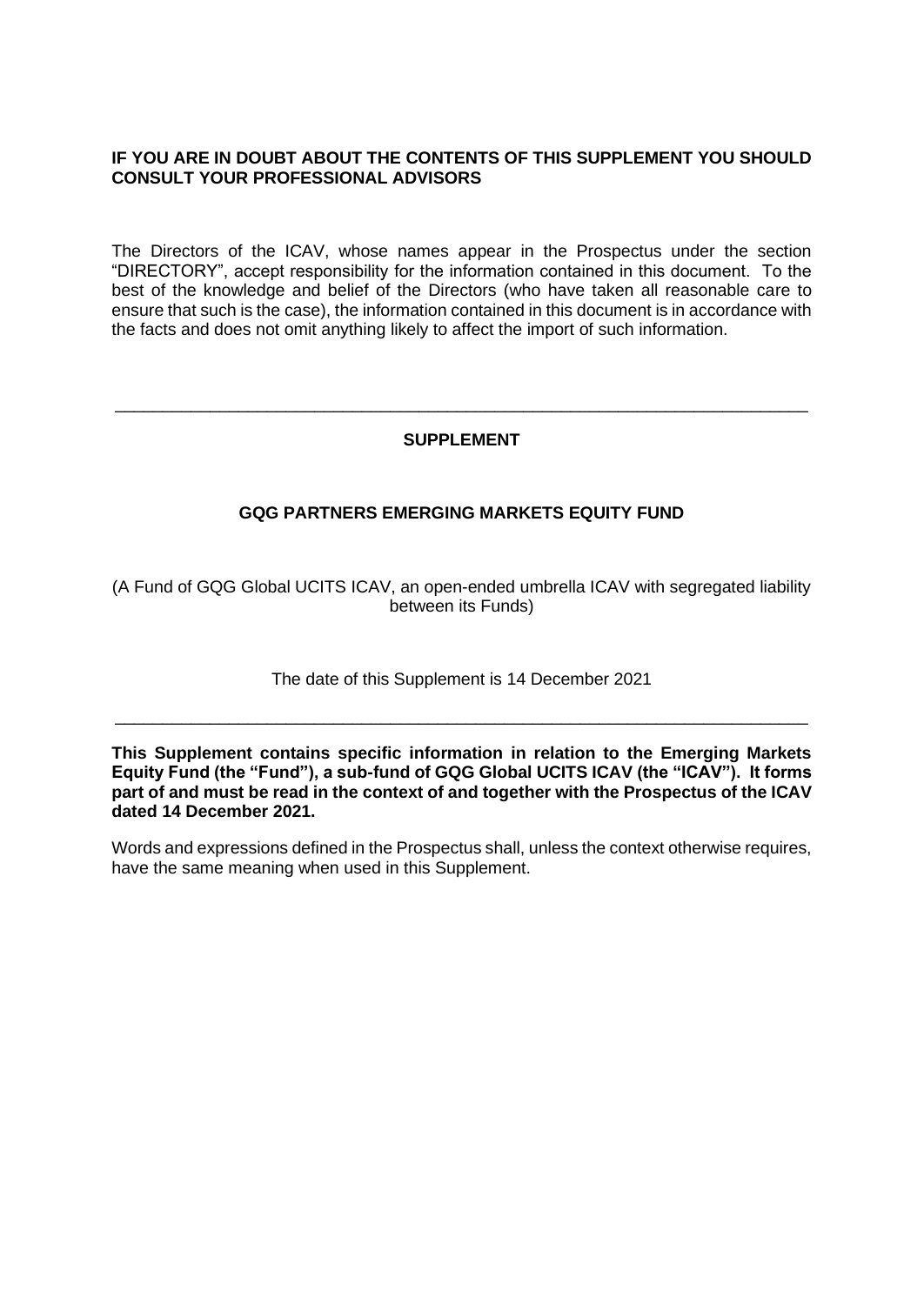# **IF YOU ARE IN DOUBT ABOUT THE CONTENTS OF THIS SUPPLEMENT YOU SHOULD CONSULT YOUR PROFESSIONAL ADVISORS**

The Directors of the ICAV, whose names appear in the Prospectus under the section "DIRECTORY", accept responsibility for the information contained in this document. To the best of the knowledge and belief of the Directors (who have taken all reasonable care to ensure that such is the case), the information contained in this document is in accordance with the facts and does not omit anything likely to affect the import of such information.

# **SUPPLEMENT**

\_\_\_\_\_\_\_\_\_\_\_\_\_\_\_\_\_\_\_\_\_\_\_\_\_\_\_\_\_\_\_\_\_\_\_\_\_\_\_\_\_\_\_\_\_\_\_\_\_\_\_\_\_\_\_\_\_\_\_\_\_\_\_\_\_\_\_\_\_\_\_\_\_

# **GQG PARTNERS EMERGING MARKETS EQUITY FUND**

(A Fund of GQG Global UCITS ICAV, an open-ended umbrella ICAV with segregated liability between its Funds)

The date of this Supplement is 14 December 2021

\_\_\_\_\_\_\_\_\_\_\_\_\_\_\_\_\_\_\_\_\_\_\_\_\_\_\_\_\_\_\_\_\_\_\_\_\_\_\_\_\_\_\_\_\_\_\_\_\_\_\_\_\_\_\_\_\_\_\_\_\_\_\_\_\_\_\_\_\_\_\_\_\_

**This Supplement contains specific information in relation to the Emerging Markets Equity Fund (the "Fund"), a sub-fund of GQG Global UCITS ICAV (the "ICAV"). It forms part of and must be read in the context of and together with the Prospectus of the ICAV dated 14 December 2021.**

Words and expressions defined in the Prospectus shall, unless the context otherwise requires, have the same meaning when used in this Supplement.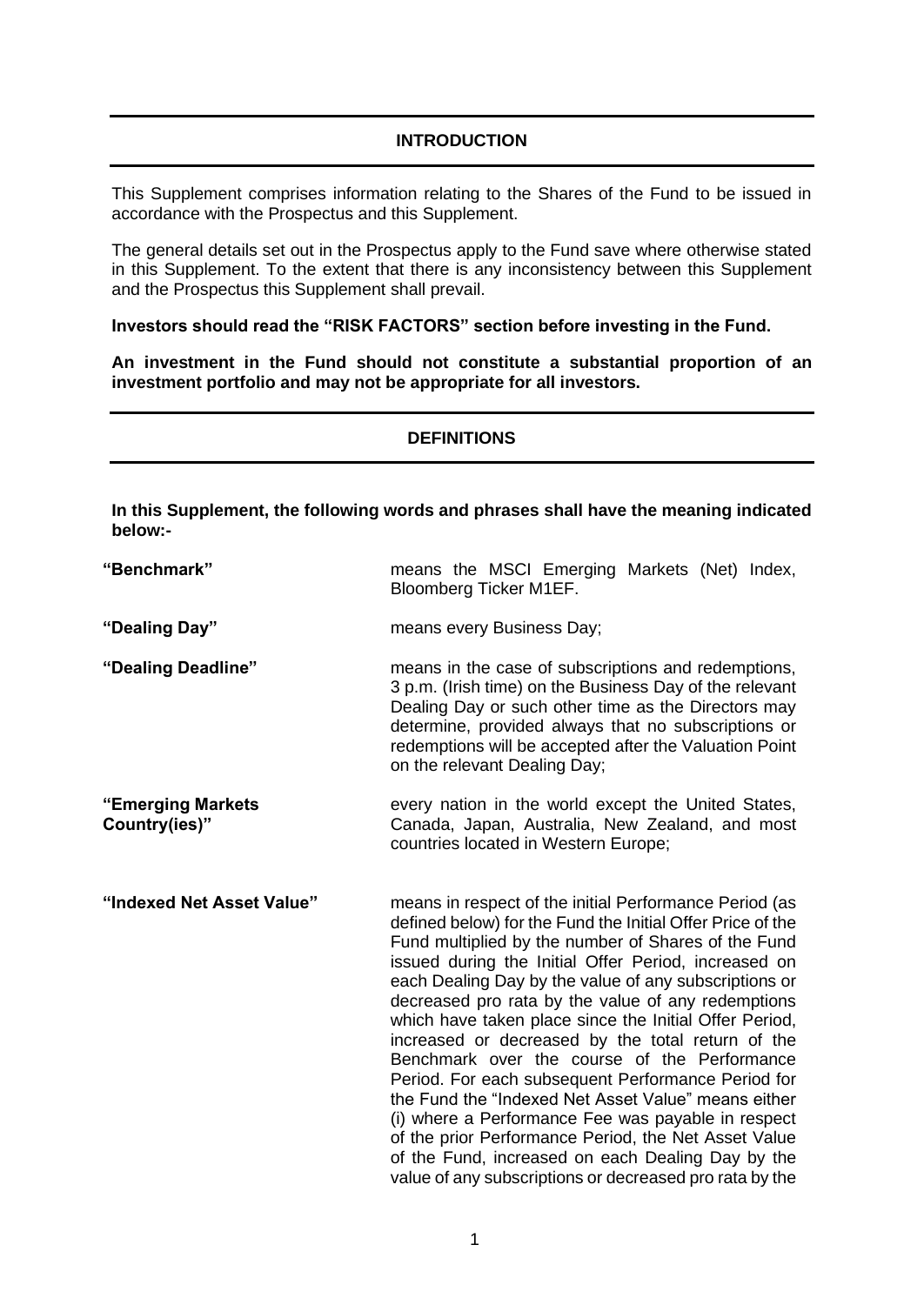# **INTRODUCTION**

This Supplement comprises information relating to the Shares of the Fund to be issued in accordance with the Prospectus and this Supplement.

The general details set out in the Prospectus apply to the Fund save where otherwise stated in this Supplement. To the extent that there is any inconsistency between this Supplement and the Prospectus this Supplement shall prevail.

**Investors should read the "RISK FACTORS" section before investing in the Fund.** 

**An investment in the Fund should not constitute a substantial proportion of an investment portfolio and may not be appropriate for all investors.**

#### **DEFINITIONS**

**In this Supplement, the following words and phrases shall have the meaning indicated below:-**

| "Benchmark"                        | means the MSCI Emerging Markets (Net) Index,<br>Bloomberg Ticker M1EF.                                                                                                                                                                                                                                                                                                                                                                                                                                                                                                                                                                                                                                                                                                                                                                                       |  |  |  |  |  |  |  |  |
|------------------------------------|--------------------------------------------------------------------------------------------------------------------------------------------------------------------------------------------------------------------------------------------------------------------------------------------------------------------------------------------------------------------------------------------------------------------------------------------------------------------------------------------------------------------------------------------------------------------------------------------------------------------------------------------------------------------------------------------------------------------------------------------------------------------------------------------------------------------------------------------------------------|--|--|--|--|--|--|--|--|
| "Dealing Day"                      | means every Business Day;                                                                                                                                                                                                                                                                                                                                                                                                                                                                                                                                                                                                                                                                                                                                                                                                                                    |  |  |  |  |  |  |  |  |
| "Dealing Deadline"                 | means in the case of subscriptions and redemptions,<br>3 p.m. (Irish time) on the Business Day of the relevant<br>Dealing Day or such other time as the Directors may<br>determine, provided always that no subscriptions or<br>redemptions will be accepted after the Valuation Point<br>on the relevant Dealing Day;                                                                                                                                                                                                                                                                                                                                                                                                                                                                                                                                       |  |  |  |  |  |  |  |  |
| "Emerging Markets<br>Country(ies)" | every nation in the world except the United States,<br>Canada, Japan, Australia, New Zealand, and most<br>countries located in Western Europe;                                                                                                                                                                                                                                                                                                                                                                                                                                                                                                                                                                                                                                                                                                               |  |  |  |  |  |  |  |  |
| "Indexed Net Asset Value"          | means in respect of the initial Performance Period (as<br>defined below) for the Fund the Initial Offer Price of the<br>Fund multiplied by the number of Shares of the Fund<br>issued during the Initial Offer Period, increased on<br>each Dealing Day by the value of any subscriptions or<br>decreased pro rata by the value of any redemptions<br>which have taken place since the Initial Offer Period,<br>increased or decreased by the total return of the<br>Benchmark over the course of the Performance<br>Period. For each subsequent Performance Period for<br>the Fund the "Indexed Net Asset Value" means either<br>(i) where a Performance Fee was payable in respect<br>of the prior Performance Period, the Net Asset Value<br>of the Fund, increased on each Dealing Day by the<br>value of any subscriptions or decreased pro rata by the |  |  |  |  |  |  |  |  |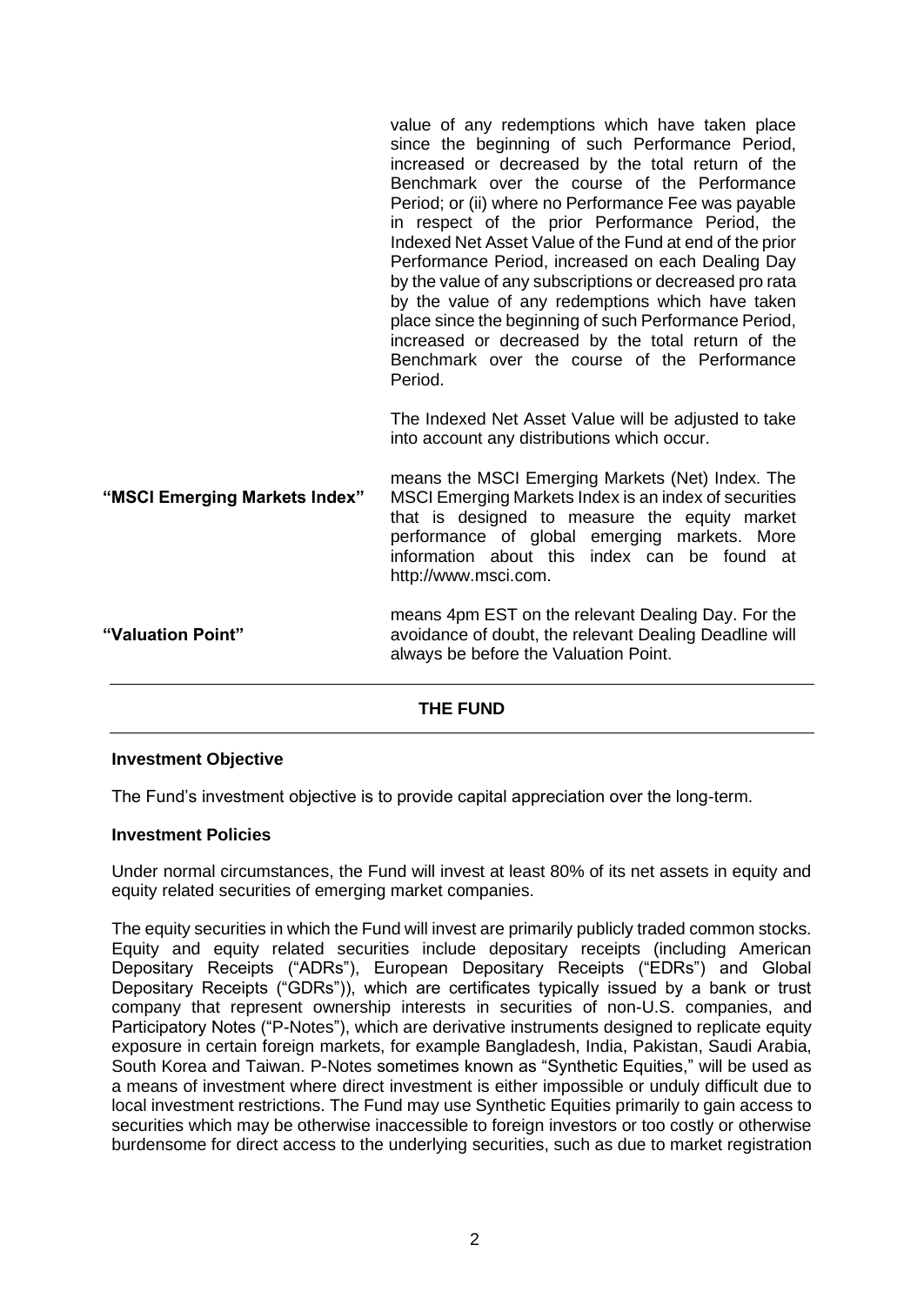| value of any redemptions which have taken place<br>since the beginning of such Performance Period,<br>increased or decreased by the total return of the<br>Benchmark over the course of the Performance<br>Period; or (ii) where no Performance Fee was payable<br>in respect of the prior Performance Period, the<br>Indexed Net Asset Value of the Fund at end of the prior<br>Performance Period, increased on each Dealing Day<br>by the value of any subscriptions or decreased pro rata<br>by the value of any redemptions which have taken<br>place since the beginning of such Performance Period,<br>increased or decreased by the total return of the<br>Benchmark over the course of the Performance<br>Period. |
|----------------------------------------------------------------------------------------------------------------------------------------------------------------------------------------------------------------------------------------------------------------------------------------------------------------------------------------------------------------------------------------------------------------------------------------------------------------------------------------------------------------------------------------------------------------------------------------------------------------------------------------------------------------------------------------------------------------------------|
| The Indexed Net Asset Value will be adjusted to take<br>into account any distributions which occur.                                                                                                                                                                                                                                                                                                                                                                                                                                                                                                                                                                                                                        |
| means the MSCI Emerging Markets (Net) Index. The<br>MSCI Emerging Markets Index is an index of securities<br>that is designed to measure the equity market<br>performance of global emerging markets. More<br>information about this index can be found at<br>http://www.msci.com.                                                                                                                                                                                                                                                                                                                                                                                                                                         |
| means 4pm EST on the relevant Dealing Day. For the<br>avoidance of doubt, the relevant Dealing Deadline will<br>always be before the Valuation Point.                                                                                                                                                                                                                                                                                                                                                                                                                                                                                                                                                                      |
|                                                                                                                                                                                                                                                                                                                                                                                                                                                                                                                                                                                                                                                                                                                            |

# **THE FUND**

### **Investment Objective**

The Fund's investment objective is to provide capital appreciation over the long-term.

#### **Investment Policies**

Under normal circumstances, the Fund will invest at least 80% of its net assets in equity and equity related securities of emerging market companies.

The equity securities in which the Fund will invest are primarily publicly traded common stocks. Equity and equity related securities include depositary receipts (including American Depositary Receipts ("ADRs"), European Depositary Receipts ("EDRs") and Global Depositary Receipts ("GDRs")), which are certificates typically issued by a bank or trust company that represent ownership interests in securities of non-U.S. companies, and Participatory Notes ("P-Notes"), which are derivative instruments designed to replicate equity exposure in certain foreign markets, for example Bangladesh, India, Pakistan, Saudi Arabia, South Korea and Taiwan. P-Notes sometimes known as "Synthetic Equities," will be used as a means of investment where direct investment is either impossible or unduly difficult due to local investment restrictions. The Fund may use Synthetic Equities primarily to gain access to securities which may be otherwise inaccessible to foreign investors or too costly or otherwise burdensome for direct access to the underlying securities, such as due to market registration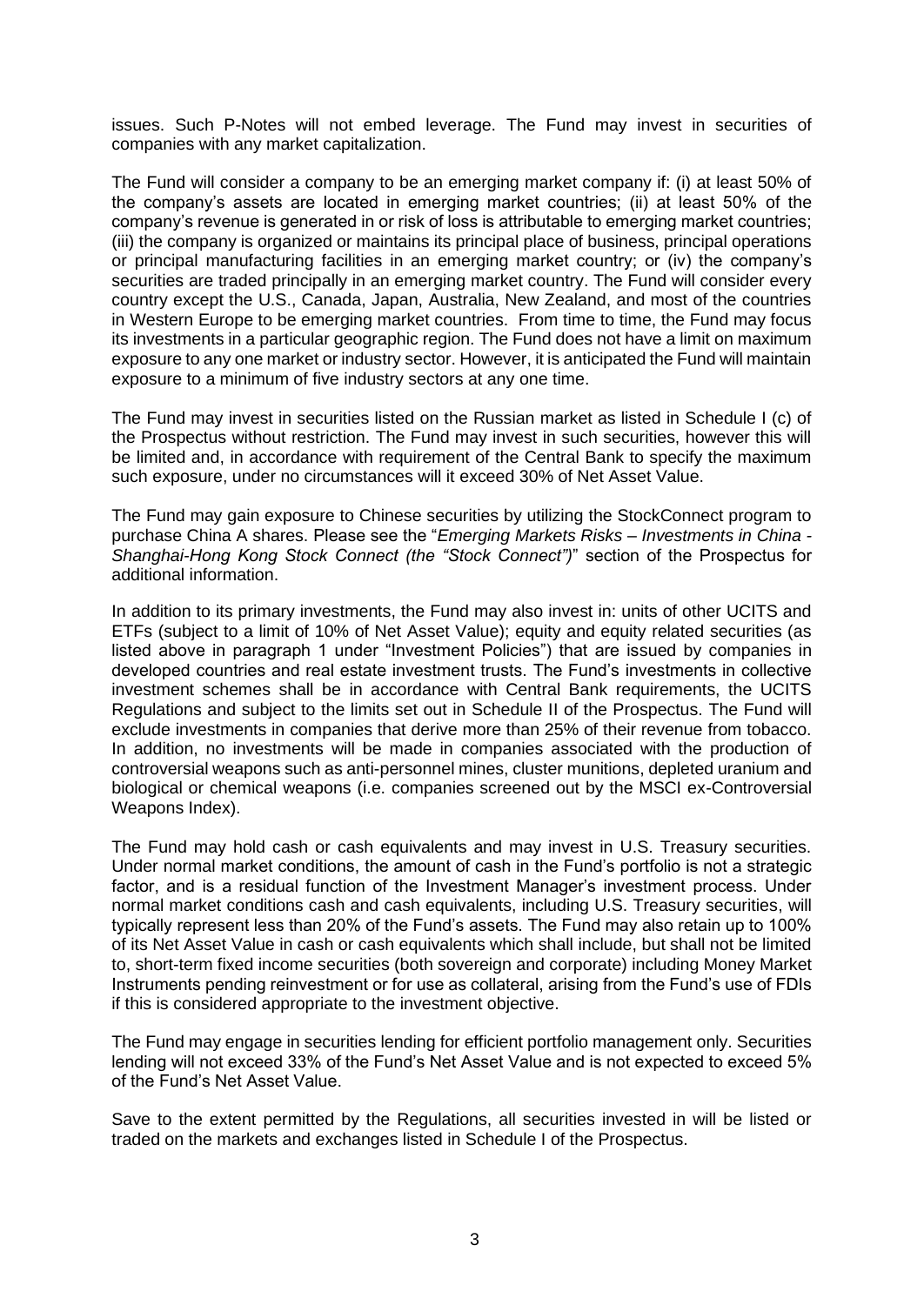issues. Such P-Notes will not embed leverage. The Fund may invest in securities of companies with any market capitalization.

The Fund will consider a company to be an emerging market company if: (i) at least 50% of the company's assets are located in emerging market countries; (ii) at least 50% of the company's revenue is generated in or risk of loss is attributable to emerging market countries; (iii) the company is organized or maintains its principal place of business, principal operations or principal manufacturing facilities in an emerging market country; or (iv) the company's securities are traded principally in an emerging market country. The Fund will consider every country except the U.S., Canada, Japan, Australia, New Zealand, and most of the countries in Western Europe to be emerging market countries. From time to time, the Fund may focus its investments in a particular geographic region. The Fund does not have a limit on maximum exposure to any one market or industry sector. However, it is anticipated the Fund will maintain exposure to a minimum of five industry sectors at any one time.

The Fund may invest in securities listed on the Russian market as listed in Schedule I (c) of the Prospectus without restriction. The Fund may invest in such securities, however this will be limited and, in accordance with requirement of the Central Bank to specify the maximum such exposure, under no circumstances will it exceed 30% of Net Asset Value.

The Fund may gain exposure to Chinese securities by utilizing the StockConnect program to purchase China A shares. Please see the "*Emerging Markets Risks – Investments in China - Shanghai-Hong Kong Stock Connect (the "Stock Connect")*" section of the Prospectus for additional information.

In addition to its primary investments, the Fund may also invest in: units of other UCITS and ETFs (subject to a limit of 10% of Net Asset Value); equity and equity related securities (as listed above in paragraph 1 under "Investment Policies") that are issued by companies in developed countries and real estate investment trusts. The Fund's investments in collective investment schemes shall be in accordance with Central Bank requirements, the UCITS Regulations and subject to the limits set out in Schedule II of the Prospectus. The Fund will exclude investments in companies that derive more than 25% of their revenue from tobacco. In addition, no investments will be made in companies associated with the production of controversial weapons such as anti-personnel mines, cluster munitions, depleted uranium and biological or chemical weapons (i.e. companies screened out by the MSCI ex-Controversial Weapons Index).

The Fund may hold cash or cash equivalents and may invest in U.S. Treasury securities. Under normal market conditions, the amount of cash in the Fund's portfolio is not a strategic factor, and is a residual function of the Investment Manager's investment process. Under normal market conditions cash and cash equivalents, including U.S. Treasury securities, will typically represent less than 20% of the Fund's assets. The Fund may also retain up to 100% of its Net Asset Value in cash or cash equivalents which shall include, but shall not be limited to, short-term fixed income securities (both sovereign and corporate) including Money Market Instruments pending reinvestment or for use as collateral, arising from the Fund's use of FDIs if this is considered appropriate to the investment objective.

The Fund may engage in securities lending for efficient portfolio management only. Securities lending will not exceed 33% of the Fund's Net Asset Value and is not expected to exceed 5% of the Fund's Net Asset Value.

Save to the extent permitted by the Regulations, all securities invested in will be listed or traded on the markets and exchanges listed in Schedule I of the Prospectus.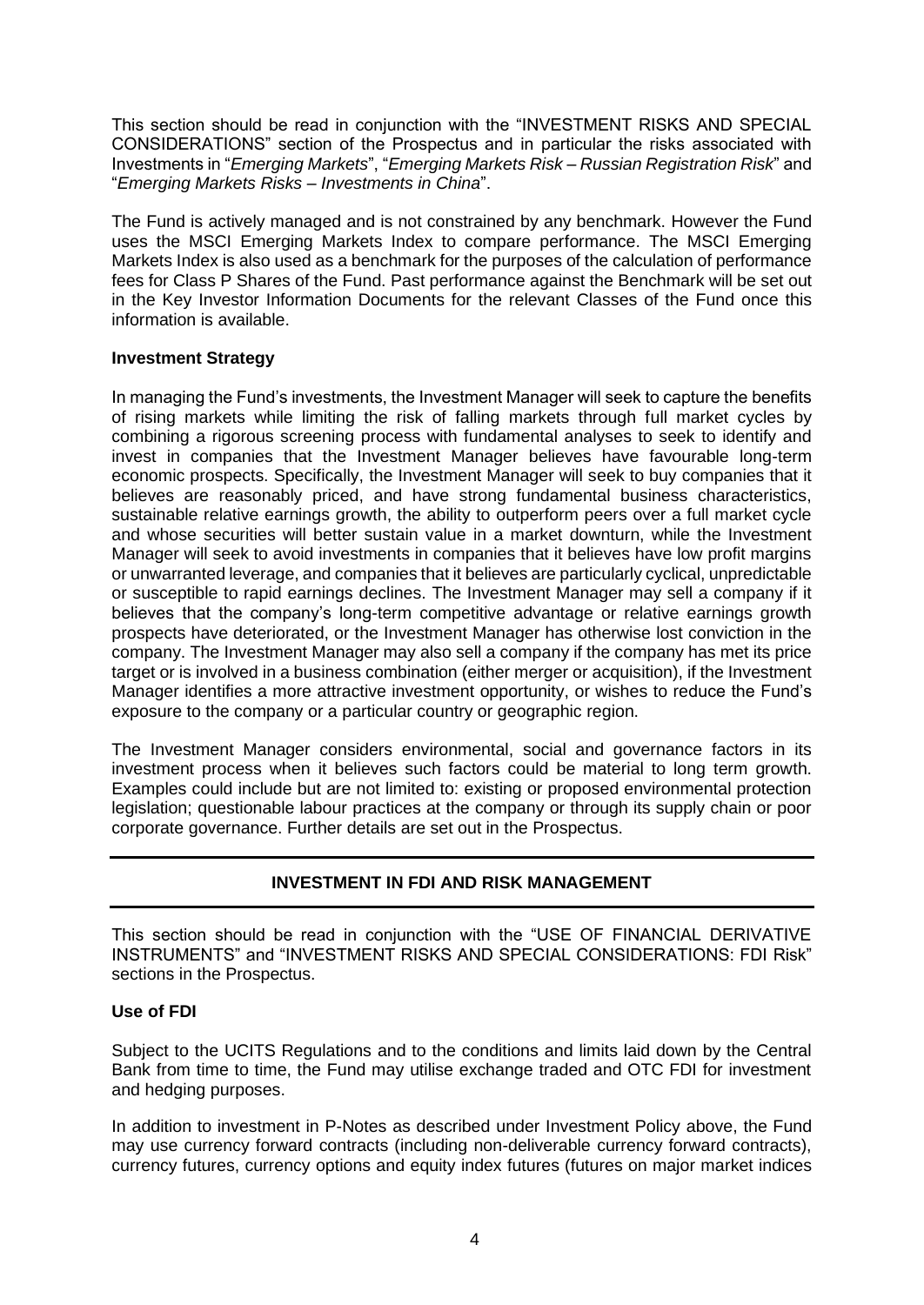This section should be read in conjunction with the "INVESTMENT RISKS AND SPECIAL CONSIDERATIONS" section of the Prospectus and in particular the risks associated with Investments in "*Emerging Markets*", "*Emerging Markets Risk – Russian Registration Risk*" and "*Emerging Markets Risks – Investments in China*".

The Fund is actively managed and is not constrained by any benchmark. However the Fund uses the MSCI Emerging Markets Index to compare performance. The MSCI Emerging Markets Index is also used as a benchmark for the purposes of the calculation of performance fees for Class P Shares of the Fund. Past performance against the Benchmark will be set out in the Key Investor Information Documents for the relevant Classes of the Fund once this information is available.

### **Investment Strategy**

In managing the Fund's investments, the Investment Manager will seek to capture the benefits of rising markets while limiting the risk of falling markets through full market cycles by combining a rigorous screening process with fundamental analyses to seek to identify and invest in companies that the Investment Manager believes have favourable long-term economic prospects. Specifically, the Investment Manager will seek to buy companies that it believes are reasonably priced, and have strong fundamental business characteristics, sustainable relative earnings growth, the ability to outperform peers over a full market cycle and whose securities will better sustain value in a market downturn, while the Investment Manager will seek to avoid investments in companies that it believes have low profit margins or unwarranted leverage, and companies that it believes are particularly cyclical, unpredictable or susceptible to rapid earnings declines. The Investment Manager may sell a company if it believes that the company's long-term competitive advantage or relative earnings growth prospects have deteriorated, or the Investment Manager has otherwise lost conviction in the company. The Investment Manager may also sell a company if the company has met its price target or is involved in a business combination (either merger or acquisition), if the Investment Manager identifies a more attractive investment opportunity, or wishes to reduce the Fund's exposure to the company or a particular country or geographic region.

The Investment Manager considers environmental, social and governance factors in its investment process when it believes such factors could be material to long term growth. Examples could include but are not limited to: existing or proposed environmental protection legislation; questionable labour practices at the company or through its supply chain or poor corporate governance. Further details are set out in the Prospectus.

# **INVESTMENT IN FDI AND RISK MANAGEMENT**

This section should be read in conjunction with the "USE OF FINANCIAL DERIVATIVE INSTRUMENTS" and "INVESTMENT RISKS AND SPECIAL CONSIDERATIONS: FDI Risk" sections in the Prospectus.

### **Use of FDI**

Subject to the UCITS Regulations and to the conditions and limits laid down by the Central Bank from time to time, the Fund may utilise exchange traded and OTC FDI for investment and hedging purposes.

In addition to investment in P-Notes as described under Investment Policy above, the Fund may use currency forward contracts (including non-deliverable currency forward contracts), currency futures, currency options and equity index futures (futures on major market indices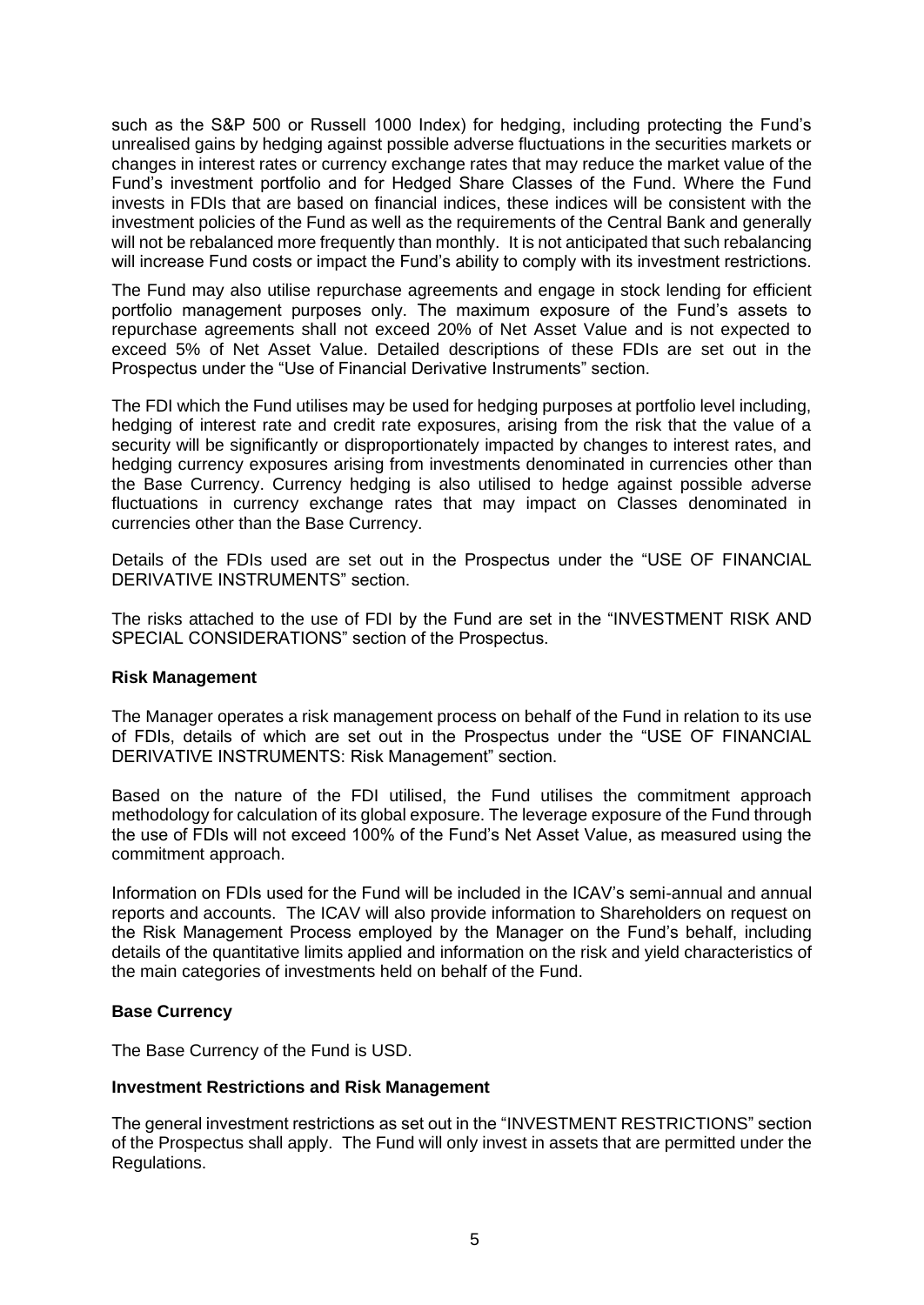such as the S&P 500 or Russell 1000 Index) for hedging, including protecting the Fund's unrealised gains by hedging against possible adverse fluctuations in the securities markets or changes in interest rates or currency exchange rates that may reduce the market value of the Fund's investment portfolio and for Hedged Share Classes of the Fund. Where the Fund invests in FDIs that are based on financial indices, these indices will be consistent with the investment policies of the Fund as well as the requirements of the Central Bank and generally will not be rebalanced more frequently than monthly. It is not anticipated that such rebalancing will increase Fund costs or impact the Fund's ability to comply with its investment restrictions.

The Fund may also utilise repurchase agreements and engage in stock lending for efficient portfolio management purposes only. The maximum exposure of the Fund's assets to repurchase agreements shall not exceed 20% of Net Asset Value and is not expected to exceed 5% of Net Asset Value. Detailed descriptions of these FDIs are set out in the Prospectus under the "Use of Financial Derivative Instruments" section.

The FDI which the Fund utilises may be used for hedging purposes at portfolio level including, hedging of interest rate and credit rate exposures, arising from the risk that the value of a security will be significantly or disproportionately impacted by changes to interest rates, and hedging currency exposures arising from investments denominated in currencies other than the Base Currency. Currency hedging is also utilised to hedge against possible adverse fluctuations in currency exchange rates that may impact on Classes denominated in currencies other than the Base Currency.

Details of the FDIs used are set out in the Prospectus under the "USE OF FINANCIAL DERIVATIVE INSTRUMENTS" section.

The risks attached to the use of FDI by the Fund are set in the "INVESTMENT RISK AND SPECIAL CONSIDERATIONS" section of the Prospectus.

#### **Risk Management**

The Manager operates a risk management process on behalf of the Fund in relation to its use of FDIs, details of which are set out in the Prospectus under the "USE OF FINANCIAL DERIVATIVE INSTRUMENTS: Risk Management" section.

Based on the nature of the FDI utilised, the Fund utilises the commitment approach methodology for calculation of its global exposure. The leverage exposure of the Fund through the use of FDIs will not exceed 100% of the Fund's Net Asset Value, as measured using the commitment approach.

Information on FDIs used for the Fund will be included in the ICAV's semi-annual and annual reports and accounts. The ICAV will also provide information to Shareholders on request on the Risk Management Process employed by the Manager on the Fund's behalf, including details of the quantitative limits applied and information on the risk and yield characteristics of the main categories of investments held on behalf of the Fund.

### **Base Currency**

The Base Currency of the Fund is USD.

### **Investment Restrictions and Risk Management**

The general investment restrictions as set out in the "INVESTMENT RESTRICTIONS" section of the Prospectus shall apply. The Fund will only invest in assets that are permitted under the Regulations.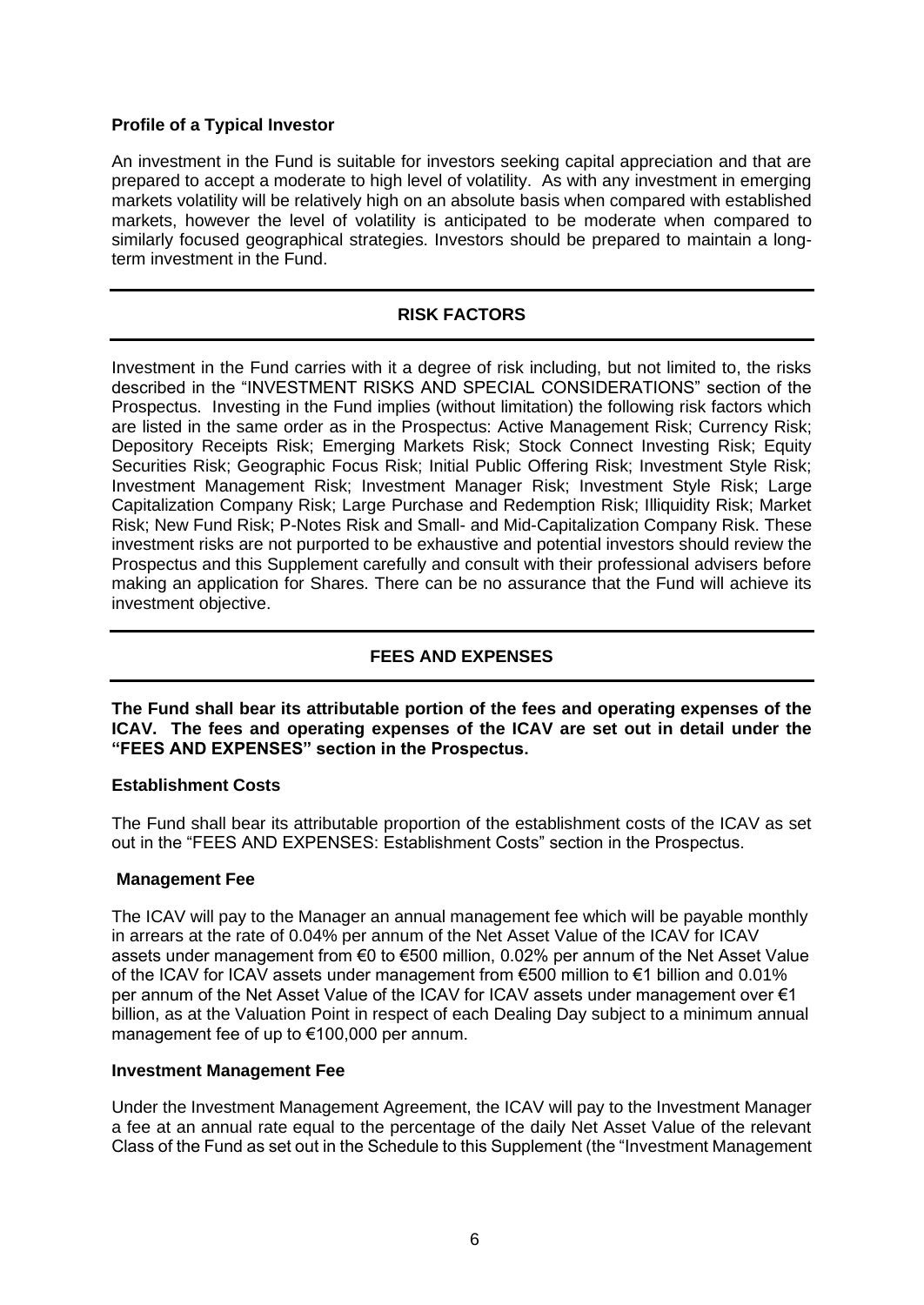# **Profile of a Typical Investor**

An investment in the Fund is suitable for investors seeking capital appreciation and that are prepared to accept a moderate to high level of volatility. As with any investment in emerging markets volatility will be relatively high on an absolute basis when compared with established markets, however the level of volatility is anticipated to be moderate when compared to similarly focused geographical strategies. Investors should be prepared to maintain a longterm investment in the Fund.

# **RISK FACTORS**

Investment in the Fund carries with it a degree of risk including, but not limited to, the risks described in the "INVESTMENT RISKS AND SPECIAL CONSIDERATIONS" section of the Prospectus. Investing in the Fund implies (without limitation) the following risk factors which are listed in the same order as in the Prospectus: Active Management Risk; Currency Risk; Depository Receipts Risk; Emerging Markets Risk; Stock Connect Investing Risk; Equity Securities Risk; Geographic Focus Risk; Initial Public Offering Risk; Investment Style Risk; Investment Management Risk; Investment Manager Risk; Investment Style Risk; Large Capitalization Company Risk; Large Purchase and Redemption Risk; Illiquidity Risk; Market Risk; New Fund Risk; P-Notes Risk and Small- and Mid-Capitalization Company Risk. These investment risks are not purported to be exhaustive and potential investors should review the Prospectus and this Supplement carefully and consult with their professional advisers before making an application for Shares. There can be no assurance that the Fund will achieve its investment objective.

# **FEES AND EXPENSES**

**The Fund shall bear its attributable portion of the fees and operating expenses of the ICAV. The fees and operating expenses of the ICAV are set out in detail under the "FEES AND EXPENSES" section in the Prospectus.** 

### **Establishment Costs**

The Fund shall bear its attributable proportion of the establishment costs of the ICAV as set out in the "FEES AND EXPENSES: Establishment Costs" section in the Prospectus.

### **Management Fee**

The ICAV will pay to the Manager an annual management fee which will be payable monthly in arrears at the rate of 0.04% per annum of the Net Asset Value of the ICAV for ICAV assets under management from €0 to €500 million, 0.02% per annum of the Net Asset Value of the ICAV for ICAV assets under management from €500 million to €1 billion and 0.01% per annum of the Net Asset Value of the ICAV for ICAV assets under management over €1 billion, as at the Valuation Point in respect of each Dealing Day subject to a minimum annual management fee of up to €100,000 per annum.

#### **Investment Management Fee**

Under the Investment Management Agreement, the ICAV will pay to the Investment Manager a fee at an annual rate equal to the percentage of the daily Net Asset Value of the relevant Class of the Fund as set out in the Schedule to this Supplement (the "Investment Management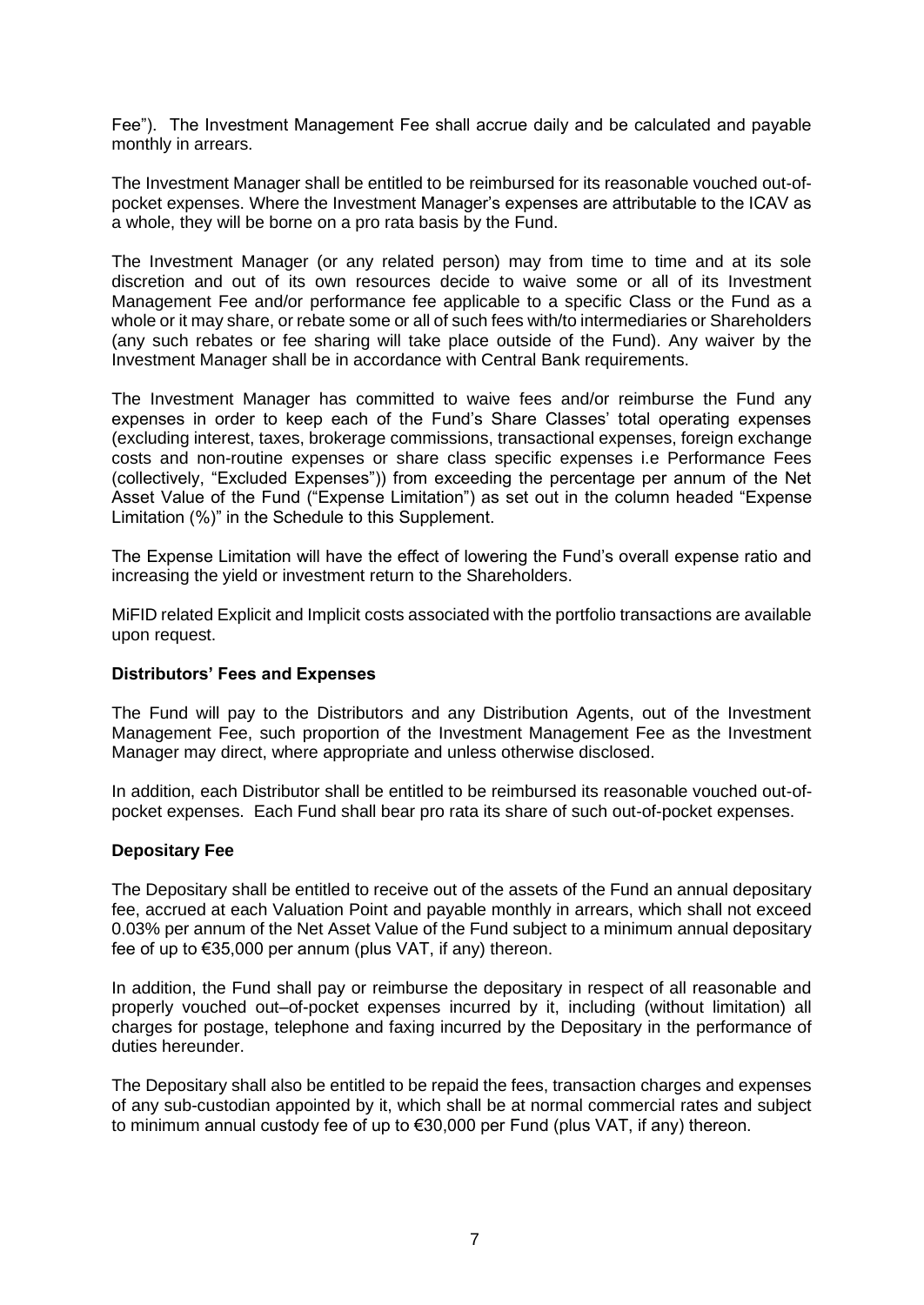Fee"). The Investment Management Fee shall accrue daily and be calculated and payable monthly in arrears.

The Investment Manager shall be entitled to be reimbursed for its reasonable vouched out-ofpocket expenses. Where the Investment Manager's expenses are attributable to the ICAV as a whole, they will be borne on a pro rata basis by the Fund.

The Investment Manager (or any related person) may from time to time and at its sole discretion and out of its own resources decide to waive some or all of its Investment Management Fee and/or performance fee applicable to a specific Class or the Fund as a whole or it may share, or rebate some or all of such fees with/to intermediaries or Shareholders (any such rebates or fee sharing will take place outside of the Fund). Any waiver by the Investment Manager shall be in accordance with Central Bank requirements.

The Investment Manager has committed to waive fees and/or reimburse the Fund any expenses in order to keep each of the Fund's Share Classes' total operating expenses (excluding interest, taxes, brokerage commissions, transactional expenses, foreign exchange costs and non-routine expenses or share class specific expenses i.e Performance Fees (collectively, "Excluded Expenses")) from exceeding the percentage per annum of the Net Asset Value of the Fund ("Expense Limitation") as set out in the column headed "Expense Limitation (%)" in the Schedule to this Supplement.

The Expense Limitation will have the effect of lowering the Fund's overall expense ratio and increasing the yield or investment return to the Shareholders.

MiFID related Explicit and Implicit costs associated with the portfolio transactions are available upon request.

### **Distributors' Fees and Expenses**

The Fund will pay to the Distributors and any Distribution Agents, out of the Investment Management Fee, such proportion of the Investment Management Fee as the Investment Manager may direct, where appropriate and unless otherwise disclosed.

In addition, each Distributor shall be entitled to be reimbursed its reasonable vouched out-ofpocket expenses. Each Fund shall bear pro rata its share of such out-of-pocket expenses.

#### **Depositary Fee**

The Depositary shall be entitled to receive out of the assets of the Fund an annual depositary fee, accrued at each Valuation Point and payable monthly in arrears, which shall not exceed 0.03% per annum of the Net Asset Value of the Fund subject to a minimum annual depositary fee of up to €35,000 per annum (plus VAT, if any) thereon.

In addition, the Fund shall pay or reimburse the depositary in respect of all reasonable and properly vouched out–of-pocket expenses incurred by it, including (without limitation) all charges for postage, telephone and faxing incurred by the Depositary in the performance of duties hereunder.

The Depositary shall also be entitled to be repaid the fees, transaction charges and expenses of any sub-custodian appointed by it, which shall be at normal commercial rates and subject to minimum annual custody fee of up to €30,000 per Fund (plus VAT, if any) thereon.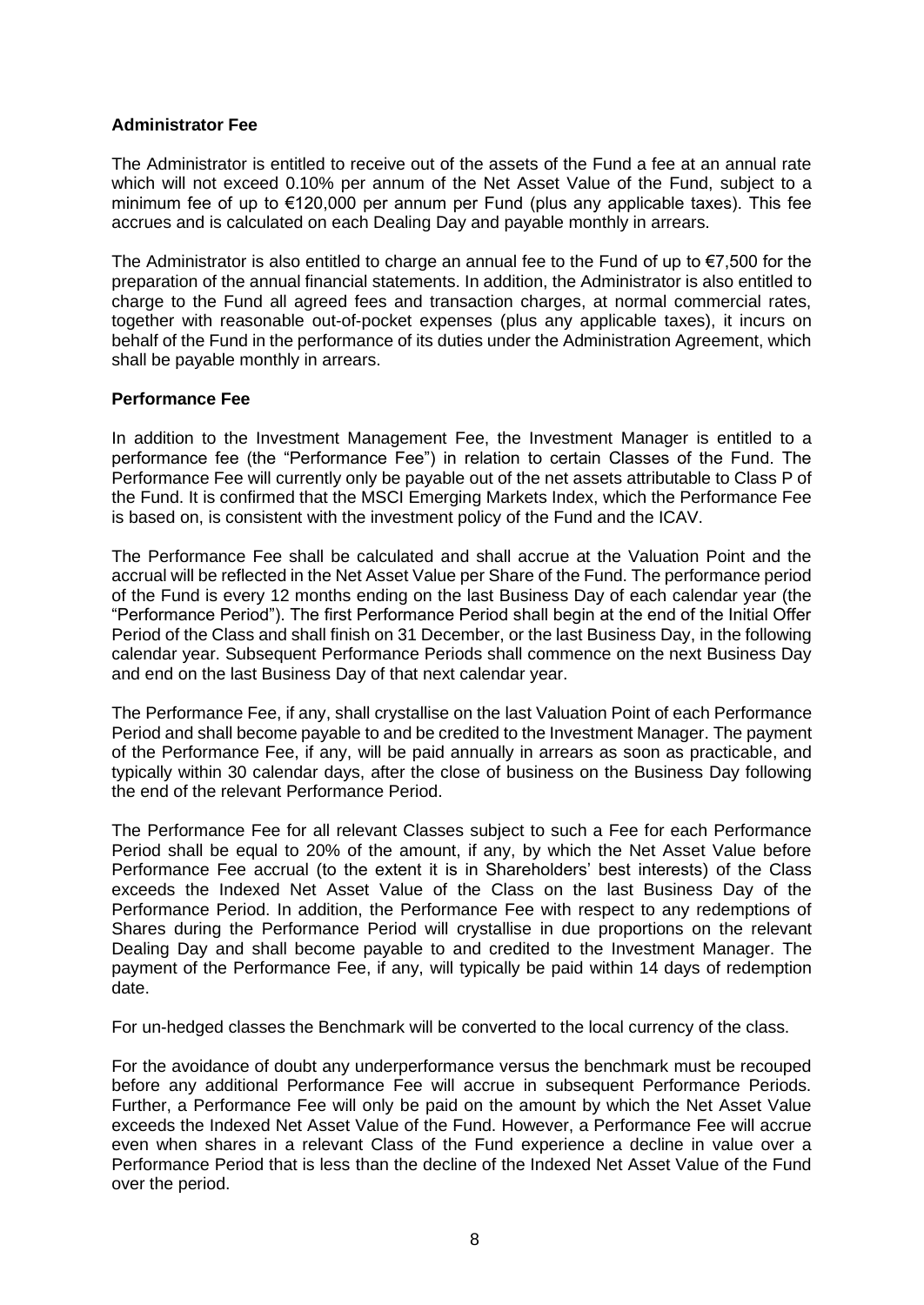### **Administrator Fee**

The Administrator is entitled to receive out of the assets of the Fund a fee at an annual rate which will not exceed 0.10% per annum of the Net Asset Value of the Fund, subject to a minimum fee of up to €120,000 per annum per Fund (plus any applicable taxes). This fee accrues and is calculated on each Dealing Day and payable monthly in arrears.

The Administrator is also entitled to charge an annual fee to the Fund of up to  $\epsilon$ 7,500 for the preparation of the annual financial statements. In addition, the Administrator is also entitled to charge to the Fund all agreed fees and transaction charges, at normal commercial rates, together with reasonable out-of-pocket expenses (plus any applicable taxes), it incurs on behalf of the Fund in the performance of its duties under the Administration Agreement, which shall be payable monthly in arrears.

### **Performance Fee**

In addition to the Investment Management Fee, the Investment Manager is entitled to a performance fee (the "Performance Fee") in relation to certain Classes of the Fund. The Performance Fee will currently only be payable out of the net assets attributable to Class P of the Fund. It is confirmed that the MSCI Emerging Markets Index, which the Performance Fee is based on, is consistent with the investment policy of the Fund and the ICAV.

The Performance Fee shall be calculated and shall accrue at the Valuation Point and the accrual will be reflected in the Net Asset Value per Share of the Fund. The performance period of the Fund is every 12 months ending on the last Business Day of each calendar year (the "Performance Period"). The first Performance Period shall begin at the end of the Initial Offer Period of the Class and shall finish on 31 December, or the last Business Day, in the following calendar year. Subsequent Performance Periods shall commence on the next Business Day and end on the last Business Day of that next calendar year.

The Performance Fee, if any, shall crystallise on the last Valuation Point of each Performance Period and shall become payable to and be credited to the Investment Manager. The payment of the Performance Fee, if any, will be paid annually in arrears as soon as practicable, and typically within 30 calendar days, after the close of business on the Business Day following the end of the relevant Performance Period.

The Performance Fee for all relevant Classes subject to such a Fee for each Performance Period shall be equal to 20% of the amount, if any, by which the Net Asset Value before Performance Fee accrual (to the extent it is in Shareholders' best interests) of the Class exceeds the Indexed Net Asset Value of the Class on the last Business Day of the Performance Period. In addition, the Performance Fee with respect to any redemptions of Shares during the Performance Period will crystallise in due proportions on the relevant Dealing Day and shall become payable to and credited to the Investment Manager. The payment of the Performance Fee, if any, will typically be paid within 14 days of redemption date.

For un-hedged classes the Benchmark will be converted to the local currency of the class.

For the avoidance of doubt any underperformance versus the benchmark must be recouped before any additional Performance Fee will accrue in subsequent Performance Periods. Further, a Performance Fee will only be paid on the amount by which the Net Asset Value exceeds the Indexed Net Asset Value of the Fund. However, a Performance Fee will accrue even when shares in a relevant Class of the Fund experience a decline in value over a Performance Period that is less than the decline of the Indexed Net Asset Value of the Fund over the period.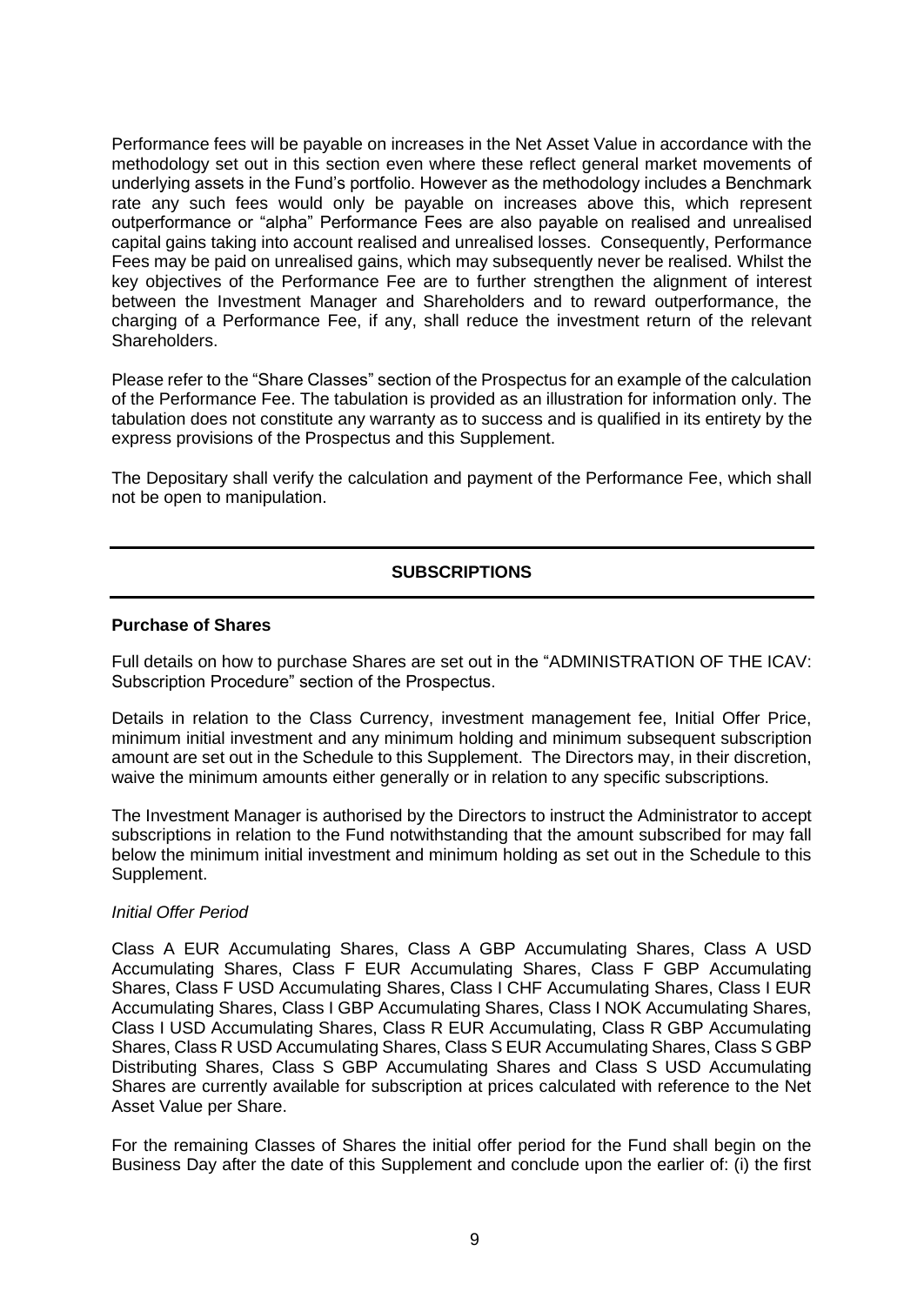Performance fees will be payable on increases in the Net Asset Value in accordance with the methodology set out in this section even where these reflect general market movements of underlying assets in the Fund's portfolio. However as the methodology includes a Benchmark rate any such fees would only be payable on increases above this, which represent outperformance or "alpha" Performance Fees are also payable on realised and unrealised capital gains taking into account realised and unrealised losses. Consequently, Performance Fees may be paid on unrealised gains, which may subsequently never be realised. Whilst the key objectives of the Performance Fee are to further strengthen the alignment of interest between the Investment Manager and Shareholders and to reward outperformance, the charging of a Performance Fee, if any, shall reduce the investment return of the relevant Shareholders.

Please refer to the "Share Classes" section of the Prospectus for an example of the calculation of the Performance Fee. The tabulation is provided as an illustration for information only. The tabulation does not constitute any warranty as to success and is qualified in its entirety by the express provisions of the Prospectus and this Supplement.

The Depositary shall verify the calculation and payment of the Performance Fee, which shall not be open to manipulation.

# **SUBSCRIPTIONS**

#### **Purchase of Shares**

Full details on how to purchase Shares are set out in the "ADMINISTRATION OF THE ICAV: Subscription Procedure" section of the Prospectus.

Details in relation to the Class Currency, investment management fee, Initial Offer Price, minimum initial investment and any minimum holding and minimum subsequent subscription amount are set out in the Schedule to this Supplement. The Directors may, in their discretion, waive the minimum amounts either generally or in relation to any specific subscriptions.

The Investment Manager is authorised by the Directors to instruct the Administrator to accept subscriptions in relation to the Fund notwithstanding that the amount subscribed for may fall below the minimum initial investment and minimum holding as set out in the Schedule to this Supplement.

#### *Initial Offer Period*

Class A EUR Accumulating Shares, Class A GBP Accumulating Shares, Class A USD Accumulating Shares, Class F EUR Accumulating Shares, Class F GBP Accumulating Shares, Class F USD Accumulating Shares, Class I CHF Accumulating Shares, Class I EUR Accumulating Shares, Class I GBP Accumulating Shares, Class I NOK Accumulating Shares, Class I USD Accumulating Shares, Class R EUR Accumulating, Class R GBP Accumulating Shares, Class R USD Accumulating Shares, Class S EUR Accumulating Shares, Class S GBP Distributing Shares, Class S GBP Accumulating Shares and Class S USD Accumulating Shares are currently available for subscription at prices calculated with reference to the Net Asset Value per Share.

For the remaining Classes of Shares the initial offer period for the Fund shall begin on the Business Day after the date of this Supplement and conclude upon the earlier of: (i) the first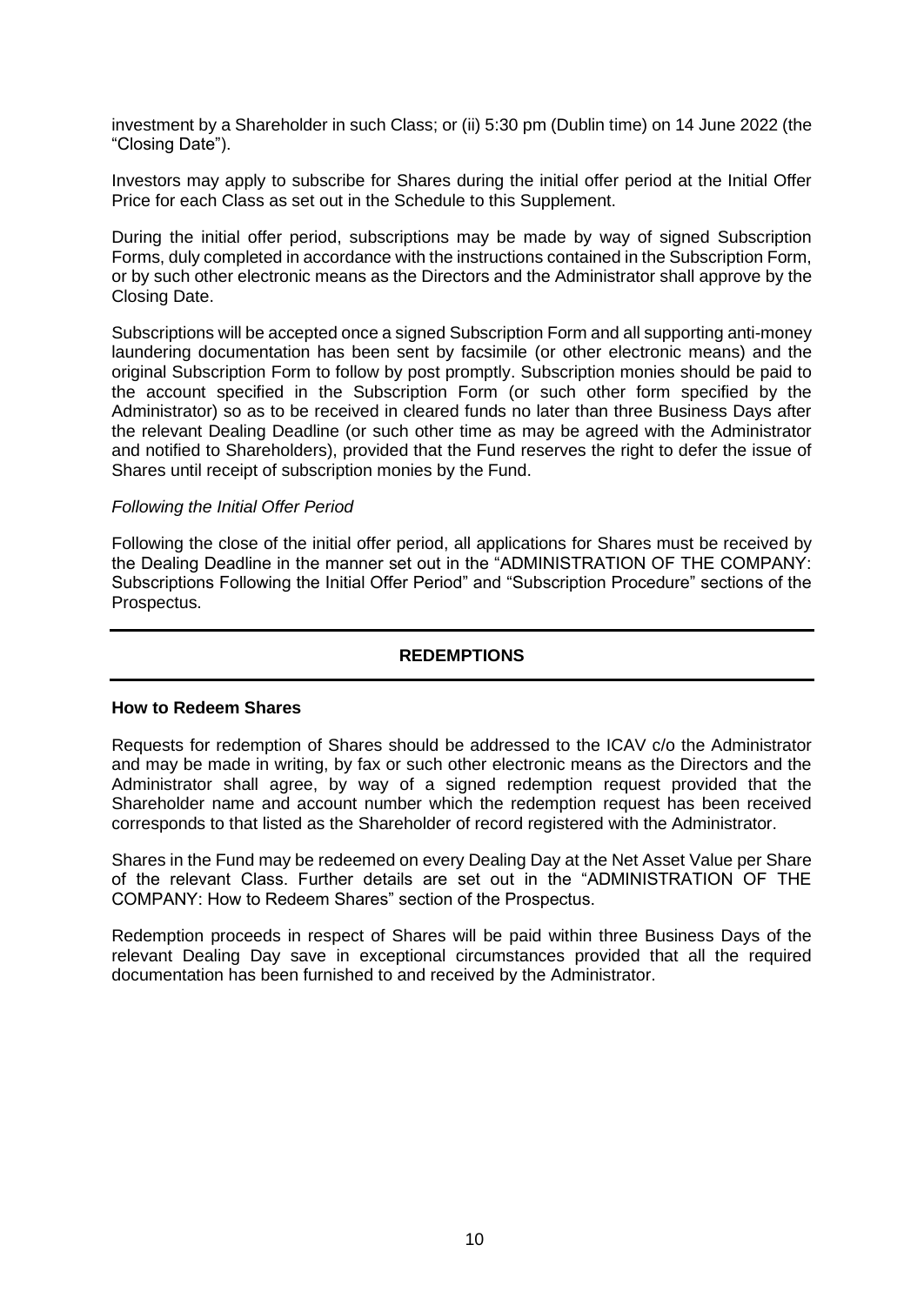investment by a Shareholder in such Class; or (ii) 5:30 pm (Dublin time) on 14 June 2022 (the "Closing Date").

Investors may apply to subscribe for Shares during the initial offer period at the Initial Offer Price for each Class as set out in the Schedule to this Supplement.

During the initial offer period, subscriptions may be made by way of signed Subscription Forms, duly completed in accordance with the instructions contained in the Subscription Form, or by such other electronic means as the Directors and the Administrator shall approve by the Closing Date.

Subscriptions will be accepted once a signed Subscription Form and all supporting anti-money laundering documentation has been sent by facsimile (or other electronic means) and the original Subscription Form to follow by post promptly. Subscription monies should be paid to the account specified in the Subscription Form (or such other form specified by the Administrator) so as to be received in cleared funds no later than three Business Days after the relevant Dealing Deadline (or such other time as may be agreed with the Administrator and notified to Shareholders), provided that the Fund reserves the right to defer the issue of Shares until receipt of subscription monies by the Fund.

#### *Following the Initial Offer Period*

Following the close of the initial offer period, all applications for Shares must be received by the Dealing Deadline in the manner set out in the "ADMINISTRATION OF THE COMPANY: Subscriptions Following the Initial Offer Period" and "Subscription Procedure" sections of the Prospectus.

#### **REDEMPTIONS**

#### **How to Redeem Shares**

Requests for redemption of Shares should be addressed to the ICAV c/o the Administrator and may be made in writing, by fax or such other electronic means as the Directors and the Administrator shall agree, by way of a signed redemption request provided that the Shareholder name and account number which the redemption request has been received corresponds to that listed as the Shareholder of record registered with the Administrator.

Shares in the Fund may be redeemed on every Dealing Day at the Net Asset Value per Share of the relevant Class. Further details are set out in the "ADMINISTRATION OF THE COMPANY: How to Redeem Shares" section of the Prospectus.

Redemption proceeds in respect of Shares will be paid within three Business Days of the relevant Dealing Day save in exceptional circumstances provided that all the required documentation has been furnished to and received by the Administrator.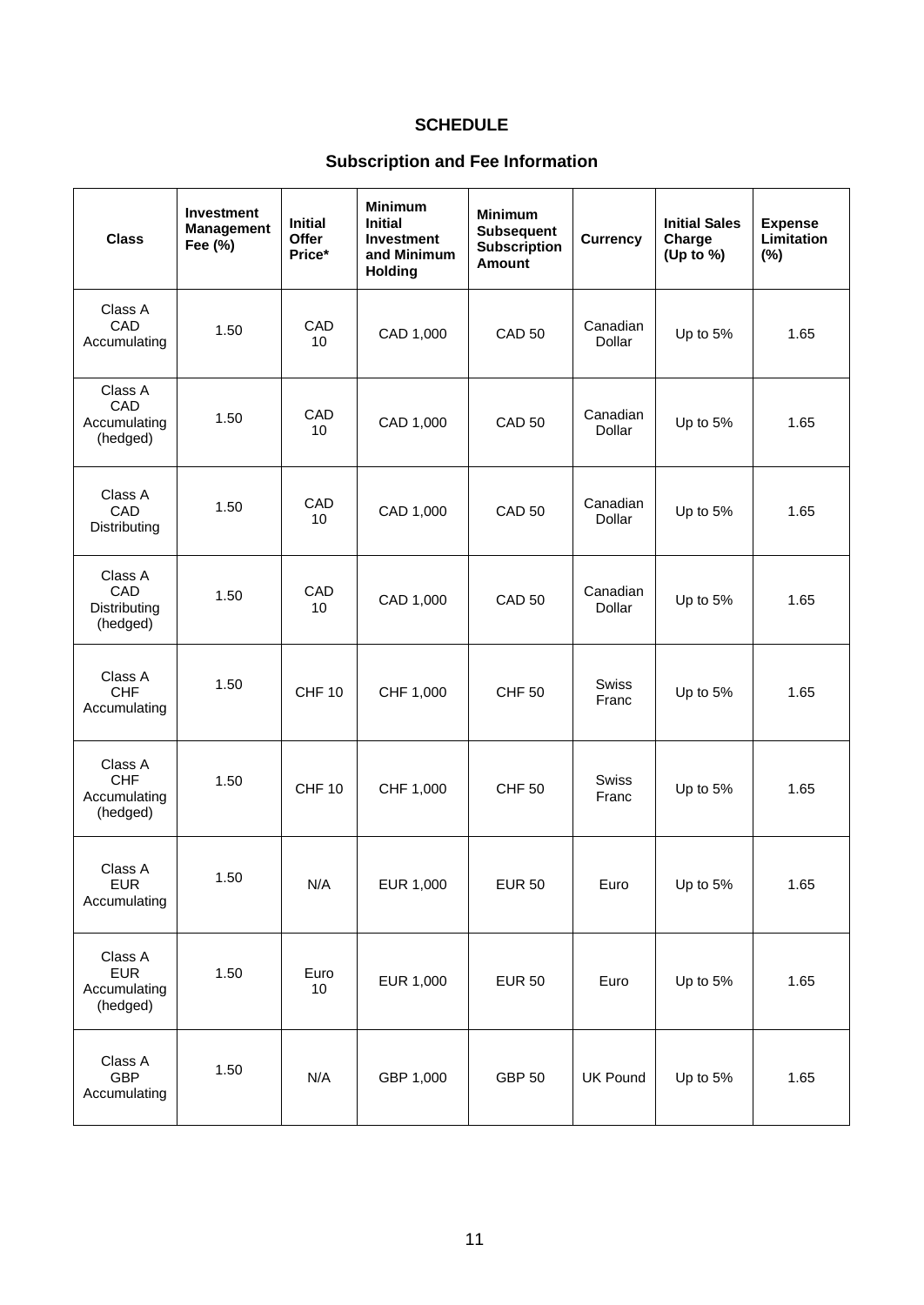# **SCHEDULE**

# **Subscription and Fee Information**

| <b>Class</b>                                      | Investment<br><b>Management</b><br>Fee (%) | <b>Initial</b><br>Offer<br>Price* | <b>Minimum</b><br><b>Initial</b><br>Investment<br>and Minimum<br><b>Holding</b> | <b>Minimum</b><br><b>Subsequent</b><br><b>Subscription</b><br><b>Amount</b> | <b>Currency</b>       | <b>Initial Sales</b><br>Charge<br>(Up to %) | <b>Expense</b><br>Limitation<br>(%) |
|---------------------------------------------------|--------------------------------------------|-----------------------------------|---------------------------------------------------------------------------------|-----------------------------------------------------------------------------|-----------------------|---------------------------------------------|-------------------------------------|
| Class A<br>CAD<br>Accumulating                    | 1.50                                       | CAD<br>10                         | CAD 1,000                                                                       | <b>CAD 50</b>                                                               | Canadian<br>Dollar    | Up to 5%                                    | 1.65                                |
| Class A<br>CAD<br>Accumulating<br>(hedged)        | 1.50                                       | CAD<br>10                         | CAD 1,000                                                                       | <b>CAD 50</b>                                                               | Canadian<br>Dollar    | Up to 5%                                    | 1.65                                |
| Class A<br>CAD<br>Distributing                    | 1.50                                       | CAD<br>10                         | CAD 1,000                                                                       | <b>CAD 50</b>                                                               | Canadian<br>Dollar    | Up to 5%                                    | 1.65                                |
| Class A<br>CAD<br>Distributing<br>(hedged)        | 1.50                                       | CAD<br>10                         | CAD 1,000                                                                       | <b>CAD 50</b>                                                               | Canadian<br>Dollar    | Up to 5%                                    | 1.65                                |
| Class A<br><b>CHF</b><br>Accumulating             | 1.50                                       | <b>CHF 10</b>                     | CHF 1,000                                                                       | <b>CHF 50</b>                                                               | Swiss<br>Franc        | Up to 5%                                    | 1.65                                |
| Class A<br><b>CHF</b><br>Accumulating<br>(hedged) | 1.50                                       | <b>CHF 10</b>                     | CHF 1,000                                                                       | <b>CHF 50</b>                                                               | <b>Swiss</b><br>Franc | Up to 5%                                    | 1.65                                |
| Class A<br><b>EUR</b><br>Accumulating             | 1.50                                       | N/A                               | EUR 1,000                                                                       | <b>EUR 50</b>                                                               | Euro                  | Up to 5%                                    | 1.65                                |
| Class A<br><b>EUR</b><br>Accumulating<br>(hedged) | 1.50                                       | Euro<br>10                        | EUR 1,000                                                                       | <b>EUR 50</b>                                                               | Euro                  | Up to 5%                                    | 1.65                                |
| Class A<br><b>GBP</b><br>Accumulating             | 1.50                                       | N/A                               | GBP 1,000                                                                       | <b>GBP 50</b>                                                               | <b>UK Pound</b>       | Up to 5%                                    | 1.65                                |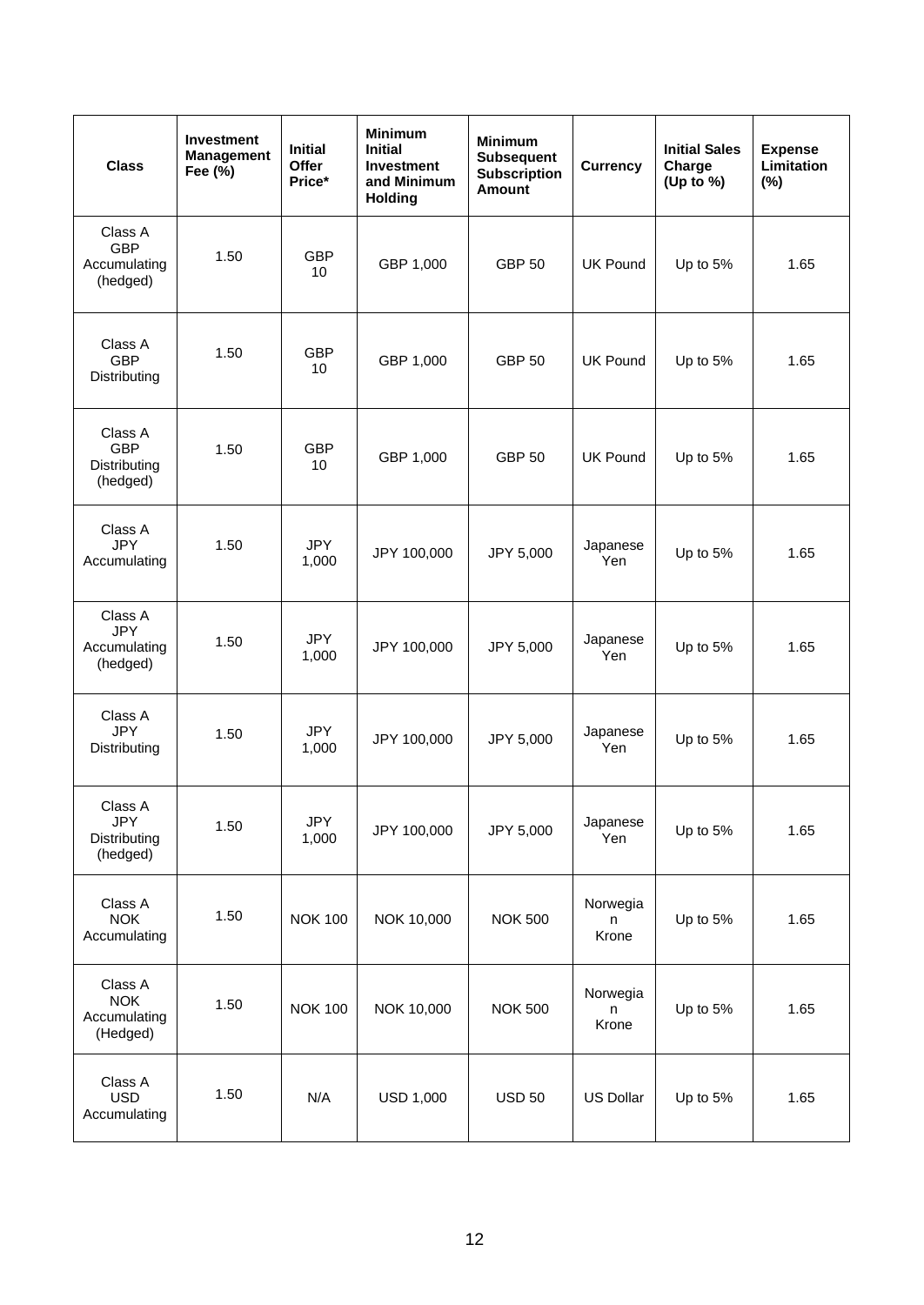| <b>Class</b>                                      | <b>Investment</b><br><b>Management</b><br>Fee (%) | <b>Initial</b><br>Offer<br>Price* | <b>Minimum</b><br><b>Initial</b><br><b>Investment</b><br>and Minimum<br><b>Holding</b> | <b>Minimum</b><br><b>Subsequent</b><br><b>Subscription</b><br><b>Amount</b> | <b>Currency</b>        | <b>Initial Sales</b><br>Charge<br>(Up to $%$ ) | <b>Expense</b><br>Limitation<br>(%) |
|---------------------------------------------------|---------------------------------------------------|-----------------------------------|----------------------------------------------------------------------------------------|-----------------------------------------------------------------------------|------------------------|------------------------------------------------|-------------------------------------|
| Class A<br><b>GBP</b><br>Accumulating<br>(hedged) | 1.50                                              | <b>GBP</b><br>10                  | GBP 1,000                                                                              | <b>GBP 50</b>                                                               | <b>UK Pound</b>        | Up to 5%                                       | 1.65                                |
| Class A<br><b>GBP</b><br>Distributing             | 1.50                                              | <b>GBP</b><br>10                  | GBP 1,000                                                                              | <b>GBP 50</b>                                                               | <b>UK Pound</b>        | Up to 5%                                       | 1.65                                |
| Class A<br><b>GBP</b><br>Distributing<br>(hedged) | 1.50                                              | <b>GBP</b><br>10                  | GBP 1,000                                                                              | <b>GBP 50</b>                                                               | <b>UK Pound</b>        | Up to 5%                                       | 1.65                                |
| Class A<br><b>JPY</b><br>Accumulating             | 1.50                                              | <b>JPY</b><br>1,000               | JPY 100,000                                                                            | JPY 5,000                                                                   | Japanese<br>Yen        | Up to 5%                                       | 1.65                                |
| Class A<br><b>JPY</b><br>Accumulating<br>(hedged) | 1.50                                              | <b>JPY</b><br>1,000               | JPY 100,000                                                                            | JPY 5,000                                                                   | Japanese<br>Yen        | Up to 5%                                       | 1.65                                |
| Class A<br><b>JPY</b><br>Distributing             | 1.50                                              | <b>JPY</b><br>1,000               | JPY 100,000                                                                            | JPY 5,000                                                                   | Japanese<br>Yen        | Up to 5%                                       | 1.65                                |
| Class A<br><b>JPY</b><br>Distributing<br>(hedged) | 1.50                                              | <b>JPY</b><br>1,000               | JPY 100,000                                                                            | JPY 5,000                                                                   | Japanese<br>Yen        | Up to 5%                                       | 1.65                                |
| Class A<br><b>NOK</b><br>Accumulating             | 1.50                                              | <b>NOK 100</b>                    | NOK 10,000                                                                             | <b>NOK 500</b>                                                              | Norwegia<br>n<br>Krone | Up to 5%                                       | 1.65                                |
| Class A<br><b>NOK</b><br>Accumulating<br>(Hedged) | 1.50                                              | <b>NOK 100</b>                    | NOK 10,000                                                                             | <b>NOK 500</b>                                                              | Norwegia<br>n<br>Krone | Up to 5%                                       | 1.65                                |
| Class A<br><b>USD</b><br>Accumulating             | 1.50                                              | N/A                               | USD 1,000                                                                              | <b>USD 50</b>                                                               | <b>US Dollar</b>       | Up to 5%                                       | 1.65                                |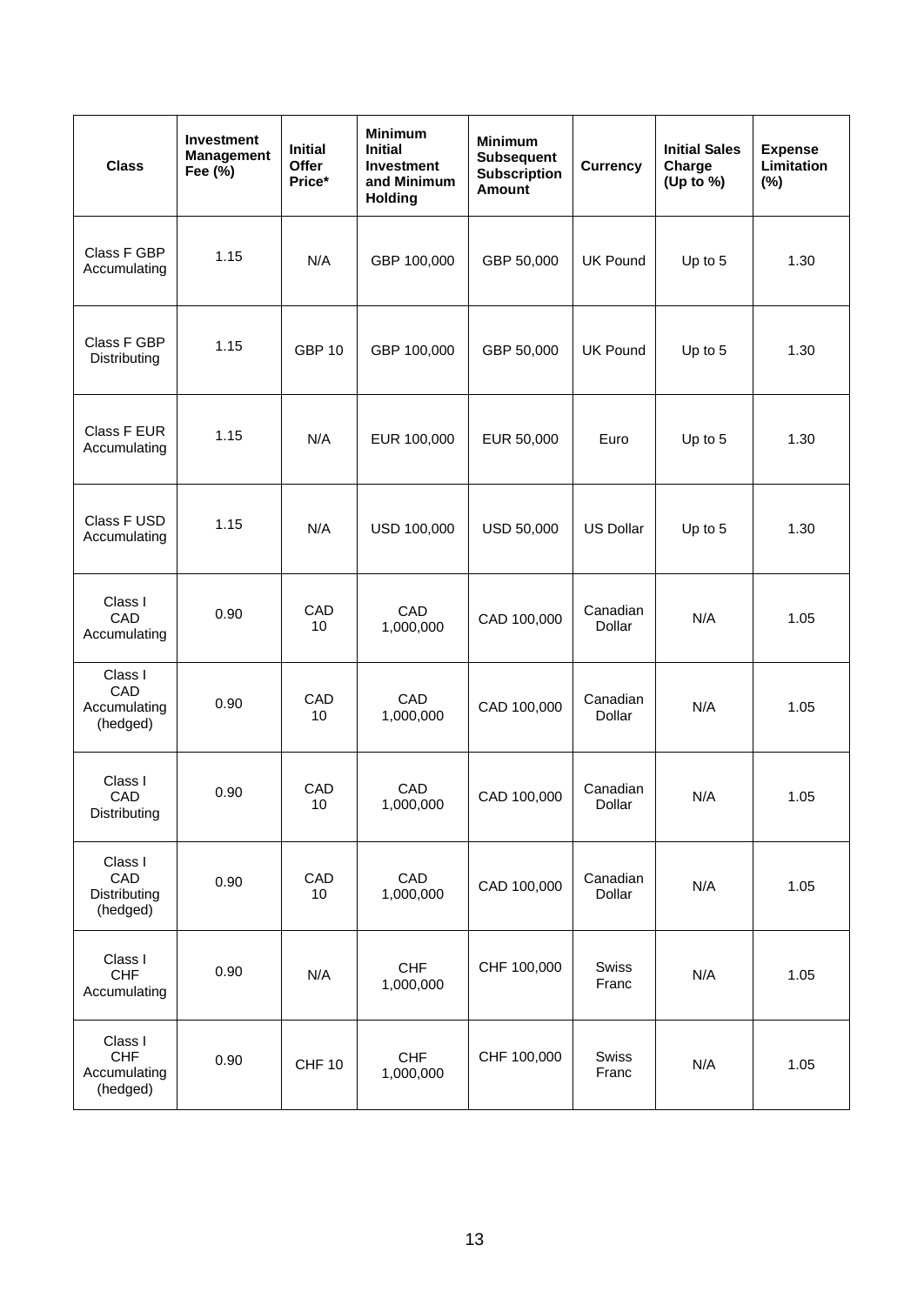| <b>Class</b>                                      | <b>Investment</b><br>Management<br>Fee (%) | Initial<br><b>Offer</b><br>Price* | <b>Minimum</b><br><b>Initial</b><br>Investment<br>and Minimum<br><b>Holding</b> | <b>Minimum</b><br><b>Subsequent</b><br><b>Subscription</b><br><b>Amount</b> | <b>Currency</b>    | <b>Initial Sales</b><br>Charge<br>(Up to $%$ ) | <b>Expense</b><br>Limitation<br>(%) |
|---------------------------------------------------|--------------------------------------------|-----------------------------------|---------------------------------------------------------------------------------|-----------------------------------------------------------------------------|--------------------|------------------------------------------------|-------------------------------------|
| Class F GBP<br>Accumulating                       | 1.15                                       | N/A                               | GBP 100,000                                                                     | GBP 50,000                                                                  | <b>UK Pound</b>    | Up to 5                                        | 1.30                                |
| Class F GBP<br>Distributing                       | 1.15                                       | <b>GBP 10</b>                     | GBP 100,000                                                                     | GBP 50,000                                                                  | <b>UK Pound</b>    | Up to 5                                        | 1.30                                |
| Class F EUR<br>Accumulating                       | 1.15                                       | N/A                               | EUR 100,000                                                                     | EUR 50,000                                                                  | Euro               | Up to 5                                        | 1.30                                |
| Class F USD<br>Accumulating                       | 1.15                                       | N/A                               | USD 100,000                                                                     | USD 50,000                                                                  | <b>US Dollar</b>   | Up to 5                                        | 1.30                                |
| Class I<br>CAD<br>Accumulating                    | 0.90                                       | CAD<br>10                         | CAD<br>1,000,000                                                                | CAD 100,000                                                                 | Canadian<br>Dollar | N/A                                            | 1.05                                |
| Class I<br>CAD<br>Accumulating<br>(hedged)        | 0.90                                       | CAD<br>10                         | CAD<br>1,000,000                                                                | CAD 100,000                                                                 | Canadian<br>Dollar | N/A                                            | 1.05                                |
| Class I<br>CAD<br>Distributing                    | 0.90                                       | CAD<br>10                         | CAD<br>1,000,000                                                                | CAD 100,000                                                                 | Canadian<br>Dollar | N/A                                            | 1.05                                |
| Class I<br>CAD<br>Distributing<br>(hedged)        | 0.90                                       | CAD<br>10                         | CAD<br>1,000,000                                                                | CAD 100,000                                                                 | Canadian<br>Dollar | N/A                                            | 1.05                                |
| Class I<br><b>CHF</b><br>Accumulating             | 0.90                                       | N/A                               | <b>CHF</b><br>1,000,000                                                         | CHF 100,000                                                                 | Swiss<br>Franc     | N/A                                            | 1.05                                |
| Class I<br><b>CHF</b><br>Accumulating<br>(hedged) | 0.90                                       | <b>CHF 10</b>                     | <b>CHF</b><br>1,000,000                                                         | CHF 100,000                                                                 | Swiss<br>Franc     | N/A                                            | 1.05                                |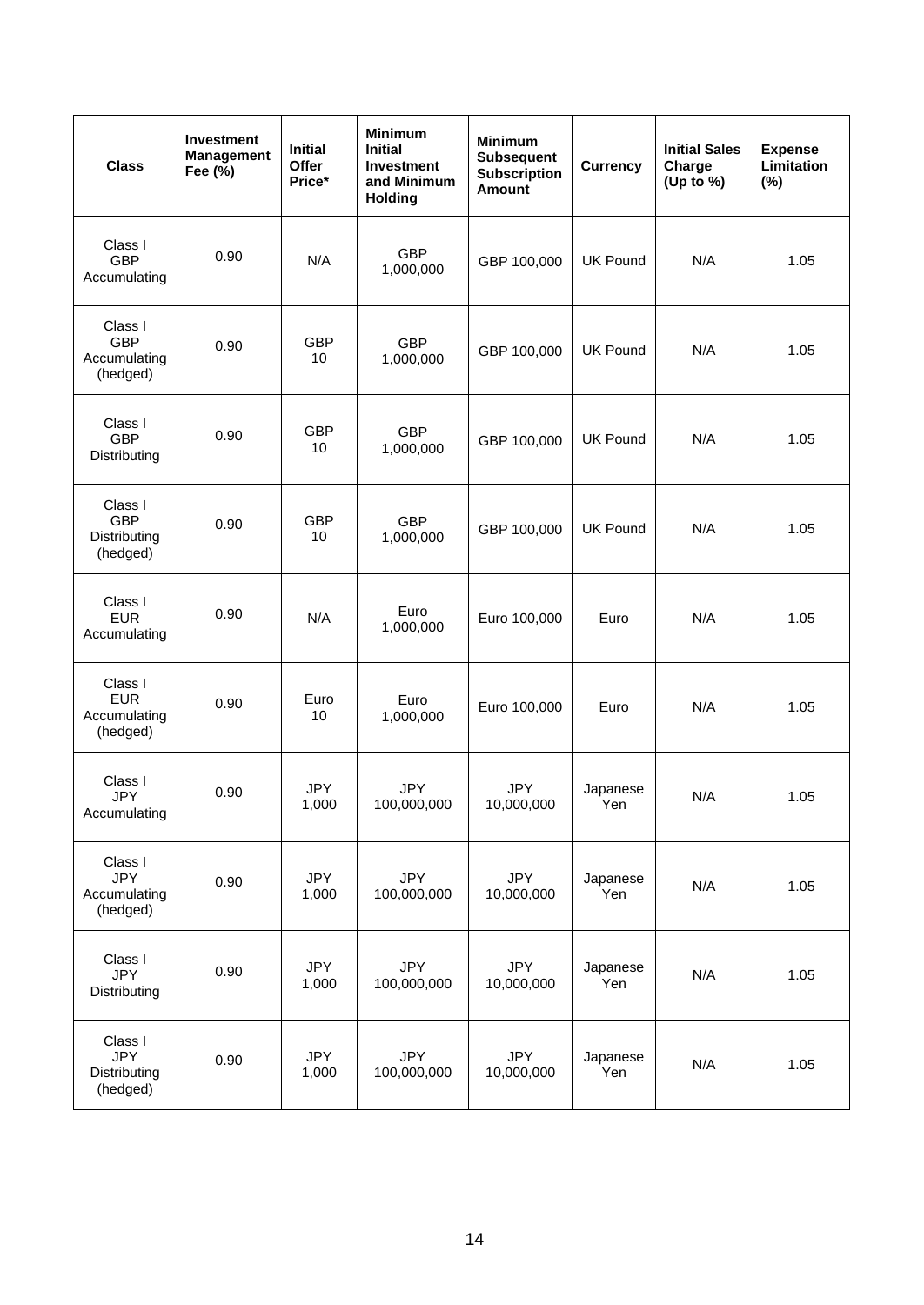| <b>Class</b>                                      | <b>Investment</b><br><b>Management</b><br>Fee (%) | <b>Initial</b><br><b>Offer</b><br>Price* | <b>Minimum</b><br><b>Initial</b><br><b>Investment</b><br>and Minimum<br><b>Holding</b> | <b>Minimum</b><br><b>Subsequent</b><br><b>Subscription</b><br>Amount | <b>Currency</b> | <b>Initial Sales</b><br>Charge<br>(Up to %) | <b>Expense</b><br>Limitation<br>(%) |
|---------------------------------------------------|---------------------------------------------------|------------------------------------------|----------------------------------------------------------------------------------------|----------------------------------------------------------------------|-----------------|---------------------------------------------|-------------------------------------|
| Class I<br><b>GBP</b><br>Accumulating             | 0.90                                              | N/A                                      | <b>GBP</b><br>1,000,000                                                                | GBP 100,000                                                          | <b>UK Pound</b> | N/A                                         | 1.05                                |
| Class I<br><b>GBP</b><br>Accumulating<br>(hedged) | 0.90                                              | <b>GBP</b><br>10                         | <b>GBP</b><br>1,000,000                                                                | GBP 100,000                                                          | <b>UK Pound</b> | N/A                                         | 1.05                                |
| Class I<br><b>GBP</b><br>Distributing             | 0.90                                              | <b>GBP</b><br>10                         | <b>GBP</b><br>1,000,000                                                                | GBP 100,000                                                          | <b>UK Pound</b> | N/A                                         | 1.05                                |
| Class I<br><b>GBP</b><br>Distributing<br>(hedged) | 0.90                                              | <b>GBP</b><br>10                         | <b>GBP</b><br>1,000,000                                                                | GBP 100,000                                                          | <b>UK Pound</b> | N/A                                         | 1.05                                |
| Class I<br><b>EUR</b><br>Accumulating             | 0.90                                              | N/A                                      | Euro<br>1,000,000                                                                      | Euro 100,000                                                         | Euro            | N/A                                         | 1.05                                |
| Class I<br><b>EUR</b><br>Accumulating<br>(hedged) | 0.90                                              | Euro<br>10                               | Euro<br>1,000,000                                                                      | Euro 100,000                                                         | Euro            | N/A                                         | 1.05                                |
| Class I<br><b>JPY</b><br>Accumulating             | 0.90                                              | <b>JPY</b><br>1,000                      | <b>JPY</b><br>100,000,000                                                              | <b>JPY</b><br>10,000,000                                             | Japanese<br>Yen | N/A                                         | 1.05                                |
| Class I<br><b>JPY</b><br>Accumulating<br>(hedged) | 0.90                                              | <b>JPY</b><br>1,000                      | <b>JPY</b><br>100,000,000                                                              | <b>JPY</b><br>10,000,000                                             | Japanese<br>Yen | N/A                                         | 1.05                                |
| Class I<br><b>JPY</b><br>Distributing             | 0.90                                              | <b>JPY</b><br>1,000                      | <b>JPY</b><br>100,000,000                                                              | <b>JPY</b><br>10,000,000                                             | Japanese<br>Yen | N/A                                         | 1.05                                |
| Class I<br><b>JPY</b><br>Distributing<br>(hedged) | 0.90                                              | <b>JPY</b><br>1,000                      | <b>JPY</b><br>100,000,000                                                              | <b>JPY</b><br>10,000,000                                             | Japanese<br>Yen | N/A                                         | 1.05                                |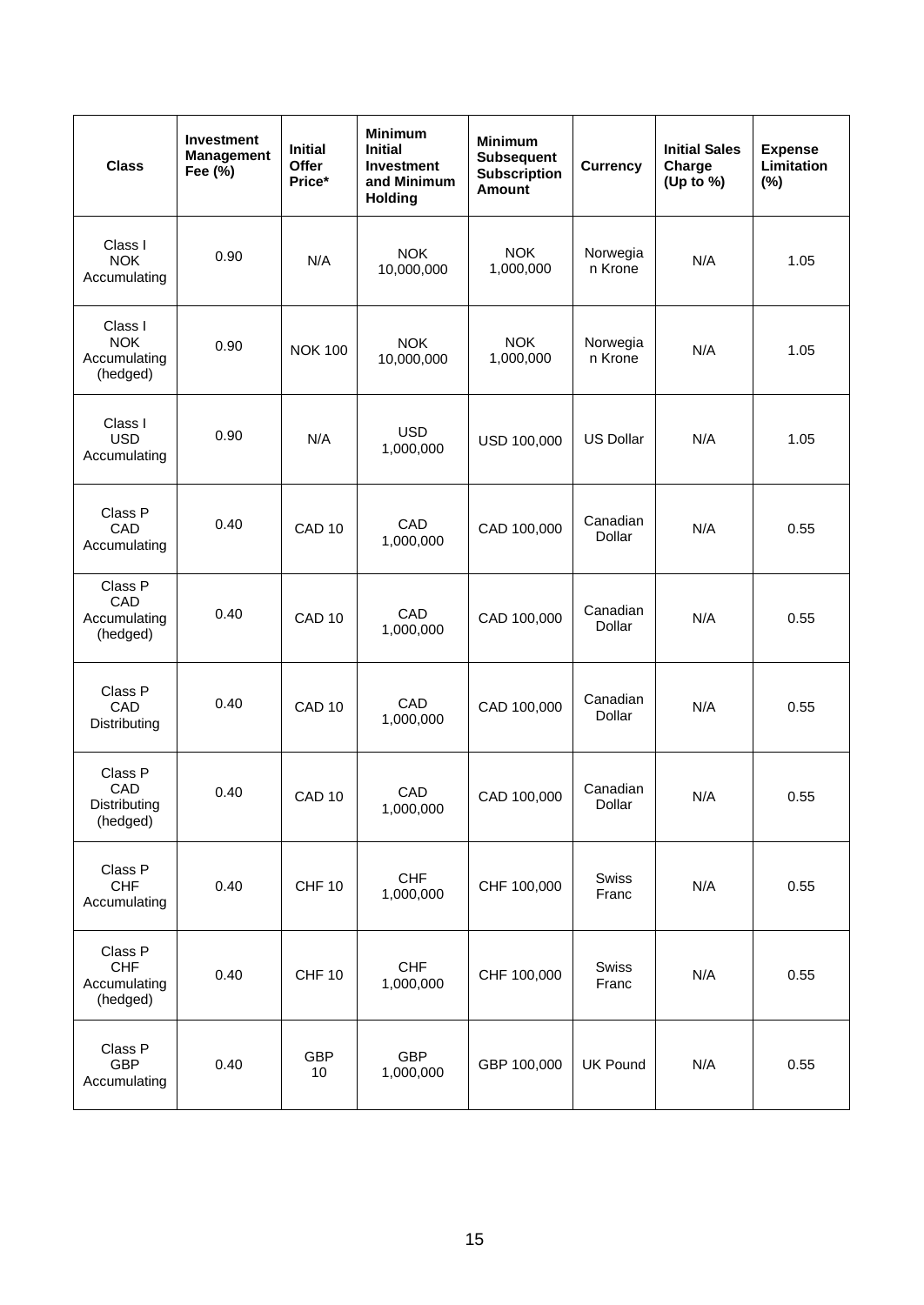| <b>Class</b>                                      | <b>Investment</b><br>Management<br>Fee (%) | <b>Initial</b><br><b>Offer</b><br>Price* | <b>Minimum</b><br><b>Initial</b><br><b>Investment</b><br>and Minimum<br><b>Holding</b> | <b>Minimum</b><br><b>Subsequent</b><br><b>Subscription</b><br><b>Amount</b> | <b>Currency</b>     | <b>Initial Sales</b><br>Charge<br>(Up to %) | <b>Expense</b><br>Limitation<br>(%) |
|---------------------------------------------------|--------------------------------------------|------------------------------------------|----------------------------------------------------------------------------------------|-----------------------------------------------------------------------------|---------------------|---------------------------------------------|-------------------------------------|
| Class I<br><b>NOK</b><br>Accumulating             | 0.90                                       | N/A                                      | <b>NOK</b><br>10,000,000                                                               | <b>NOK</b><br>1,000,000                                                     | Norwegia<br>n Krone | N/A                                         | 1.05                                |
| Class I<br><b>NOK</b><br>Accumulating<br>(hedged) | 0.90                                       | <b>NOK 100</b>                           | <b>NOK</b><br>10,000,000                                                               | <b>NOK</b><br>1,000,000                                                     | Norwegia<br>n Krone | N/A                                         | 1.05                                |
| Class I<br><b>USD</b><br>Accumulating             | 0.90                                       | N/A                                      | <b>USD</b><br>1,000,000                                                                | USD 100,000                                                                 | <b>US Dollar</b>    | N/A                                         | 1.05                                |
| Class P<br>CAD<br>Accumulating                    | 0.40                                       | CAD <sub>10</sub>                        | CAD<br>1,000,000                                                                       | CAD 100,000                                                                 | Canadian<br>Dollar  | N/A                                         | 0.55                                |
| Class P<br>CAD<br>Accumulating<br>(hedged)        | 0.40                                       | CAD <sub>10</sub>                        | CAD<br>1,000,000                                                                       | CAD 100,000                                                                 | Canadian<br>Dollar  | N/A                                         | 0.55                                |
| Class P<br>CAD<br>Distributing                    | 0.40                                       | <b>CAD 10</b>                            | CAD<br>1,000,000                                                                       | CAD 100,000                                                                 | Canadian<br>Dollar  | N/A                                         | 0.55                                |
| Class P<br>CAD<br>Distributing<br>(hedged)        | 0.40                                       | CAD <sub>10</sub>                        | CAD<br>1,000,000                                                                       | CAD 100,000                                                                 | Canadian<br>Dollar  | N/A                                         | 0.55                                |
| Class P<br><b>CHF</b><br>Accumulating             | 0.40                                       | <b>CHF 10</b>                            | <b>CHF</b><br>1,000,000                                                                | CHF 100,000                                                                 | Swiss<br>Franc      | N/A                                         | 0.55                                |
| Class P<br><b>CHF</b><br>Accumulating<br>(hedged) | 0.40                                       | <b>CHF 10</b>                            | <b>CHF</b><br>1,000,000                                                                | CHF 100,000                                                                 | Swiss<br>Franc      | N/A                                         | 0.55                                |
| Class P<br><b>GBP</b><br>Accumulating             | 0.40                                       | <b>GBP</b><br>10                         | <b>GBP</b><br>1,000,000                                                                | GBP 100,000                                                                 | <b>UK Pound</b>     | N/A                                         | 0.55                                |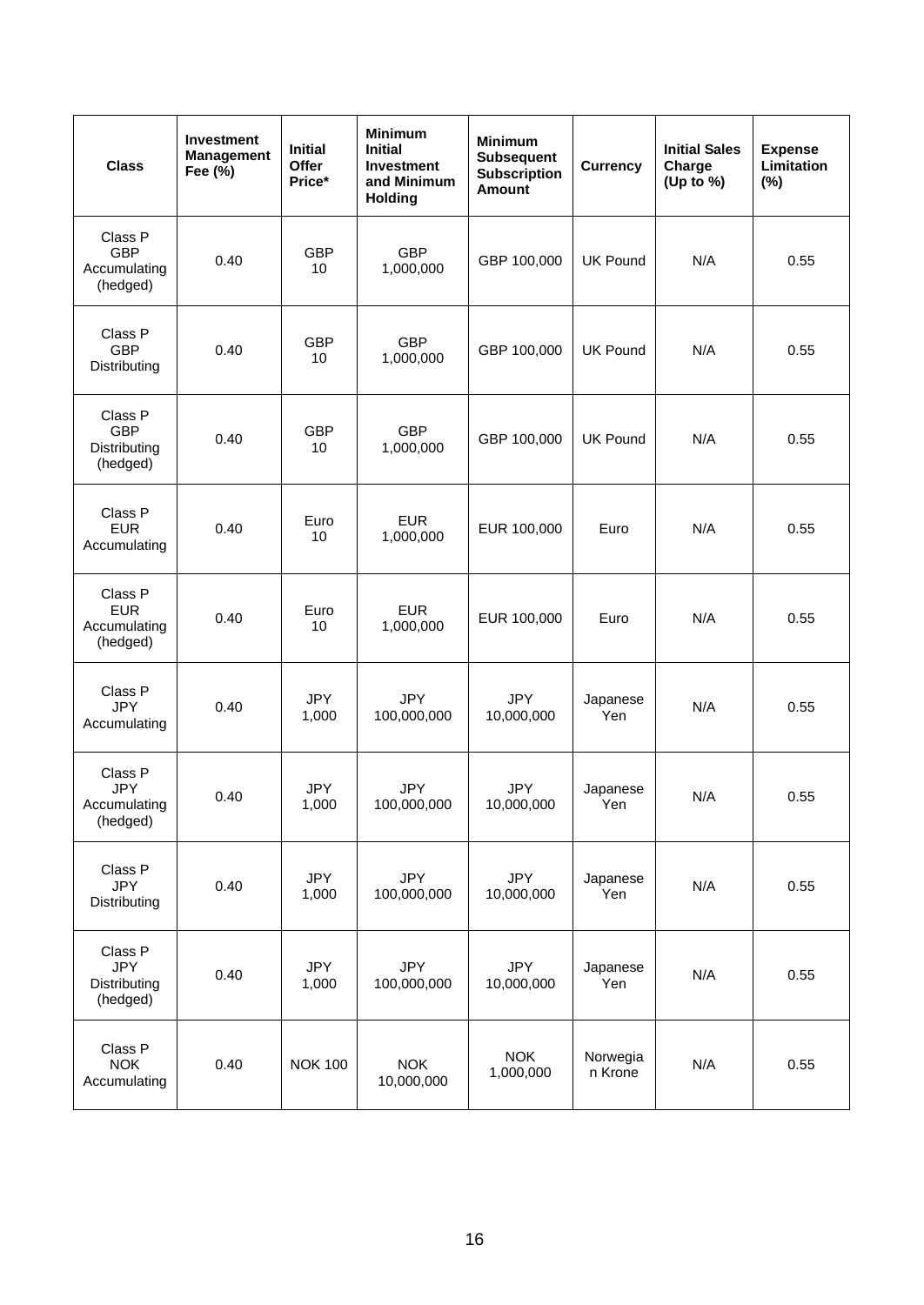| <b>Class</b>                                      | <b>Investment</b><br><b>Management</b><br>Fee (%) | <b>Initial</b><br><b>Offer</b><br>Price* | <b>Minimum</b><br><b>Initial</b><br><b>Investment</b><br>and Minimum<br><b>Holding</b> | <b>Minimum</b><br><b>Subsequent</b><br><b>Subscription</b><br><b>Amount</b> | <b>Currency</b>     | <b>Initial Sales</b><br>Charge<br>(Up to %) | <b>Expense</b><br>Limitation<br>(%) |
|---------------------------------------------------|---------------------------------------------------|------------------------------------------|----------------------------------------------------------------------------------------|-----------------------------------------------------------------------------|---------------------|---------------------------------------------|-------------------------------------|
| Class P<br><b>GBP</b><br>Accumulating<br>(hedged) | 0.40                                              | <b>GBP</b><br>10                         | <b>GBP</b><br>1,000,000                                                                | GBP 100,000                                                                 | <b>UK Pound</b>     | N/A                                         | 0.55                                |
| Class P<br><b>GBP</b><br>Distributing             | 0.40                                              | <b>GBP</b><br>10                         | <b>GBP</b><br>1,000,000                                                                | GBP 100,000                                                                 | <b>UK Pound</b>     | N/A                                         | 0.55                                |
| Class P<br><b>GBP</b><br>Distributing<br>(hedged) | 0.40                                              | <b>GBP</b><br>10                         | <b>GBP</b><br>1,000,000                                                                | GBP 100,000                                                                 | <b>UK Pound</b>     | N/A                                         | 0.55                                |
| Class P<br><b>EUR</b><br>Accumulating             | 0.40                                              | Euro<br>10                               | <b>EUR</b><br>1,000,000                                                                | EUR 100,000                                                                 | Euro                | N/A                                         | 0.55                                |
| Class P<br><b>EUR</b><br>Accumulating<br>(hedged) | 0.40                                              | Euro<br>10                               | <b>EUR</b><br>1,000,000                                                                | EUR 100,000                                                                 | Euro                | N/A                                         | 0.55                                |
| Class P<br><b>JPY</b><br>Accumulating             | 0.40                                              | <b>JPY</b><br>1,000                      | <b>JPY</b><br>100,000,000                                                              | <b>JPY</b><br>10,000,000                                                    | Japanese<br>Yen     | N/A                                         | 0.55                                |
| Class P<br><b>JPY</b><br>Accumulating<br>(hedged) | 0.40                                              | <b>JPY</b><br>1,000                      | <b>JPY</b><br>100,000,000                                                              | JPY<br>10,000,000                                                           | Japanese<br>Yen     | N/A                                         | 0.55                                |
| Class P<br><b>JPY</b><br>Distributing             | 0.40                                              | <b>JPY</b><br>1,000                      | <b>JPY</b><br>100,000,000                                                              | <b>JPY</b><br>10,000,000                                                    | Japanese<br>Yen     | N/A                                         | 0.55                                |
| Class P<br><b>JPY</b><br>Distributing<br>(hedged) | 0.40                                              | <b>JPY</b><br>1,000                      | <b>JPY</b><br>100,000,000                                                              | <b>JPY</b><br>10,000,000                                                    | Japanese<br>Yen     | N/A                                         | 0.55                                |
| Class P<br><b>NOK</b><br>Accumulating             | 0.40                                              | <b>NOK 100</b>                           | <b>NOK</b><br>10,000,000                                                               | <b>NOK</b><br>1,000,000                                                     | Norwegia<br>n Krone | N/A                                         | 0.55                                |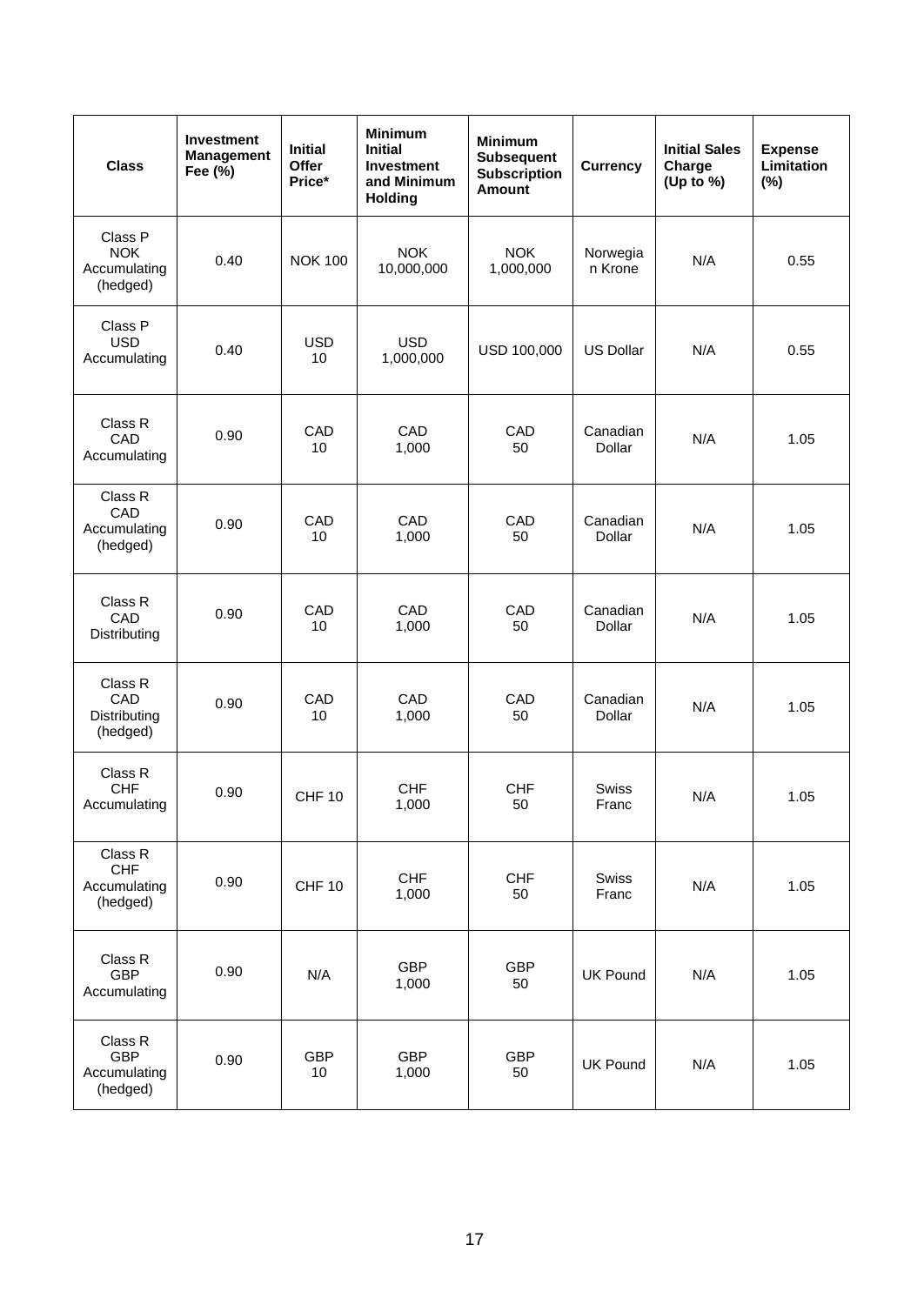| <b>Class</b>                                      | <b>Investment</b><br><b>Management</b><br>Fee (%) | <b>Initial</b><br><b>Offer</b><br>Price* | <b>Minimum</b><br><b>Initial</b><br><b>Investment</b><br>and Minimum<br><b>Holding</b> | <b>Minimum</b><br><b>Subsequent</b><br><b>Subscription</b><br><b>Amount</b> | <b>Currency</b>       | <b>Initial Sales</b><br>Charge<br>(Up to %) | <b>Expense</b><br>Limitation<br>(%) |
|---------------------------------------------------|---------------------------------------------------|------------------------------------------|----------------------------------------------------------------------------------------|-----------------------------------------------------------------------------|-----------------------|---------------------------------------------|-------------------------------------|
| Class P<br><b>NOK</b><br>Accumulating<br>(hedged) | 0.40                                              | <b>NOK 100</b>                           | <b>NOK</b><br>10,000,000                                                               | <b>NOK</b><br>1,000,000                                                     | Norwegia<br>n Krone   | N/A                                         | 0.55                                |
| Class P<br><b>USD</b><br>Accumulating             | 0.40                                              | <b>USD</b><br>10                         | <b>USD</b><br>1,000,000                                                                | USD 100,000                                                                 | <b>US Dollar</b>      | N/A                                         | 0.55                                |
| Class R<br>CAD<br>Accumulating                    | 0.90                                              | CAD<br>10                                | CAD<br>1,000                                                                           | CAD<br>50                                                                   | Canadian<br>Dollar    | N/A                                         | 1.05                                |
| Class R<br>CAD<br>Accumulating<br>(hedged)        | 0.90                                              | CAD<br>10                                | CAD<br>1,000                                                                           | CAD<br>50                                                                   | Canadian<br>Dollar    | N/A                                         | 1.05                                |
| Class R<br>CAD<br>Distributing                    | 0.90                                              | CAD<br>10                                | CAD<br>1,000                                                                           | CAD<br>50                                                                   | Canadian<br>Dollar    | N/A                                         | 1.05                                |
| Class R<br>CAD<br>Distributing<br>(hedged)        | 0.90                                              | CAD<br>10                                | CAD<br>1,000                                                                           | CAD<br>50                                                                   | Canadian<br>Dollar    | N/A                                         | 1.05                                |
| Class R<br><b>CHF</b><br>Accumulating             | 0.90                                              | CHF 10                                   | <b>CHF</b><br>1,000                                                                    | <b>CHF</b><br>50                                                            | <b>Swiss</b><br>Franc | N/A                                         | 1.05                                |
| Class R<br><b>CHF</b><br>Accumulating<br>(hedged) | 0.90                                              | <b>CHF 10</b>                            | <b>CHF</b><br>1,000                                                                    | <b>CHF</b><br>50                                                            | Swiss<br>Franc        | N/A                                         | 1.05                                |
| Class R<br><b>GBP</b><br>Accumulating             | 0.90                                              | N/A                                      | <b>GBP</b><br>1,000                                                                    | <b>GBP</b><br>50                                                            | <b>UK Pound</b>       | N/A                                         | 1.05                                |
| Class R<br><b>GBP</b><br>Accumulating<br>(hedged) | 0.90                                              | <b>GBP</b><br>10                         | <b>GBP</b><br>1,000                                                                    | <b>GBP</b><br>50                                                            | <b>UK Pound</b>       | N/A                                         | 1.05                                |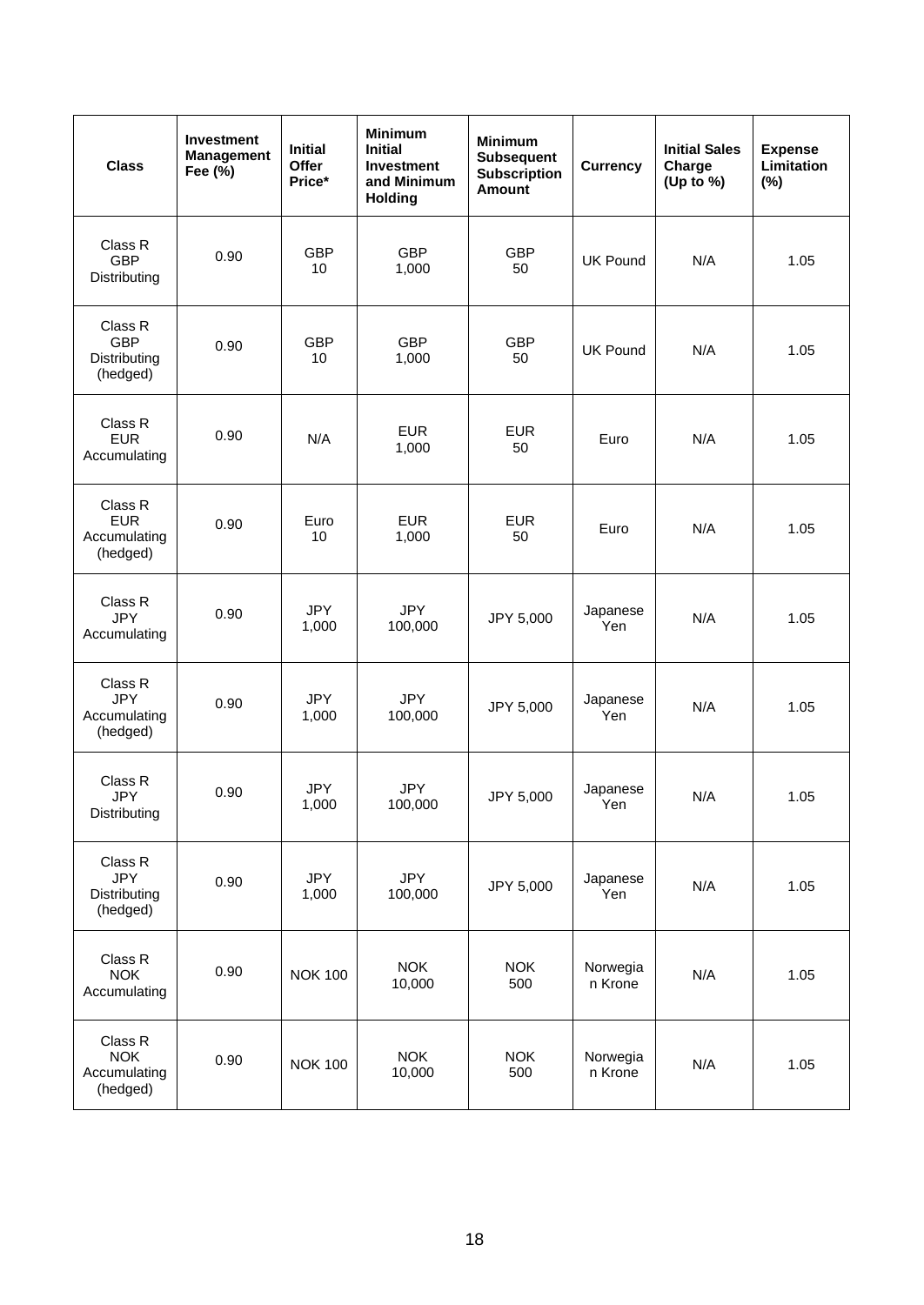| <b>Class</b>                                      | <b>Investment</b><br><b>Management</b><br>Fee (%) | <b>Initial</b><br><b>Offer</b><br>Price* | <b>Minimum</b><br><b>Initial</b><br><b>Investment</b><br>and Minimum<br><b>Holding</b> | <b>Minimum</b><br><b>Subsequent</b><br><b>Subscription</b><br><b>Amount</b> | <b>Currency</b>     | <b>Initial Sales</b><br>Charge<br>(Up to $%$ ) | <b>Expense</b><br>Limitation<br>(%) |
|---------------------------------------------------|---------------------------------------------------|------------------------------------------|----------------------------------------------------------------------------------------|-----------------------------------------------------------------------------|---------------------|------------------------------------------------|-------------------------------------|
| Class R<br><b>GBP</b><br>Distributing             | 0.90                                              | <b>GBP</b><br>10                         | <b>GBP</b><br>1,000                                                                    | <b>GBP</b><br>50                                                            | <b>UK Pound</b>     | N/A                                            | 1.05                                |
| Class R<br><b>GBP</b><br>Distributing<br>(hedged) | 0.90                                              | <b>GBP</b><br>10                         | <b>GBP</b><br>1,000                                                                    | <b>GBP</b><br>50                                                            | <b>UK Pound</b>     | N/A                                            | 1.05                                |
| Class R<br><b>EUR</b><br>Accumulating             | 0.90                                              | N/A                                      | <b>EUR</b><br>1,000                                                                    | <b>EUR</b><br>50                                                            | Euro                | N/A                                            | 1.05                                |
| Class R<br><b>EUR</b><br>Accumulating<br>(hedged) | 0.90                                              | Euro<br>10                               | <b>EUR</b><br>1,000                                                                    | <b>EUR</b><br>50                                                            | Euro                | N/A                                            | 1.05                                |
| Class R<br><b>JPY</b><br>Accumulating             | 0.90                                              | <b>JPY</b><br>1,000                      | <b>JPY</b><br>100,000                                                                  | JPY 5,000                                                                   | Japanese<br>Yen     | N/A                                            | 1.05                                |
| Class R<br><b>JPY</b><br>Accumulating<br>(hedged) | 0.90                                              | <b>JPY</b><br>1,000                      | <b>JPY</b><br>100,000                                                                  | JPY 5,000                                                                   | Japanese<br>Yen     | N/A                                            | 1.05                                |
| Class R<br><b>JPY</b><br>Distributing             | 0.90                                              | <b>JPY</b><br>1,000                      | <b>JPY</b><br>100,000                                                                  | JPY 5,000                                                                   | Japanese<br>Yen     | N/A                                            | 1.05                                |
| Class R<br><b>JPY</b><br>Distributing<br>(hedged) | 0.90                                              | <b>JPY</b><br>1,000                      | <b>JPY</b><br>100,000                                                                  | JPY 5,000                                                                   | Japanese<br>Yen     | N/A                                            | 1.05                                |
| Class R<br><b>NOK</b><br>Accumulating             | 0.90                                              | <b>NOK 100</b>                           | <b>NOK</b><br>10,000                                                                   | <b>NOK</b><br>500                                                           | Norwegia<br>n Krone | N/A                                            | 1.05                                |
| Class R<br><b>NOK</b><br>Accumulating<br>(hedged) | 0.90                                              | <b>NOK 100</b>                           | <b>NOK</b><br>10,000                                                                   | <b>NOK</b><br>500                                                           | Norwegia<br>n Krone | N/A                                            | 1.05                                |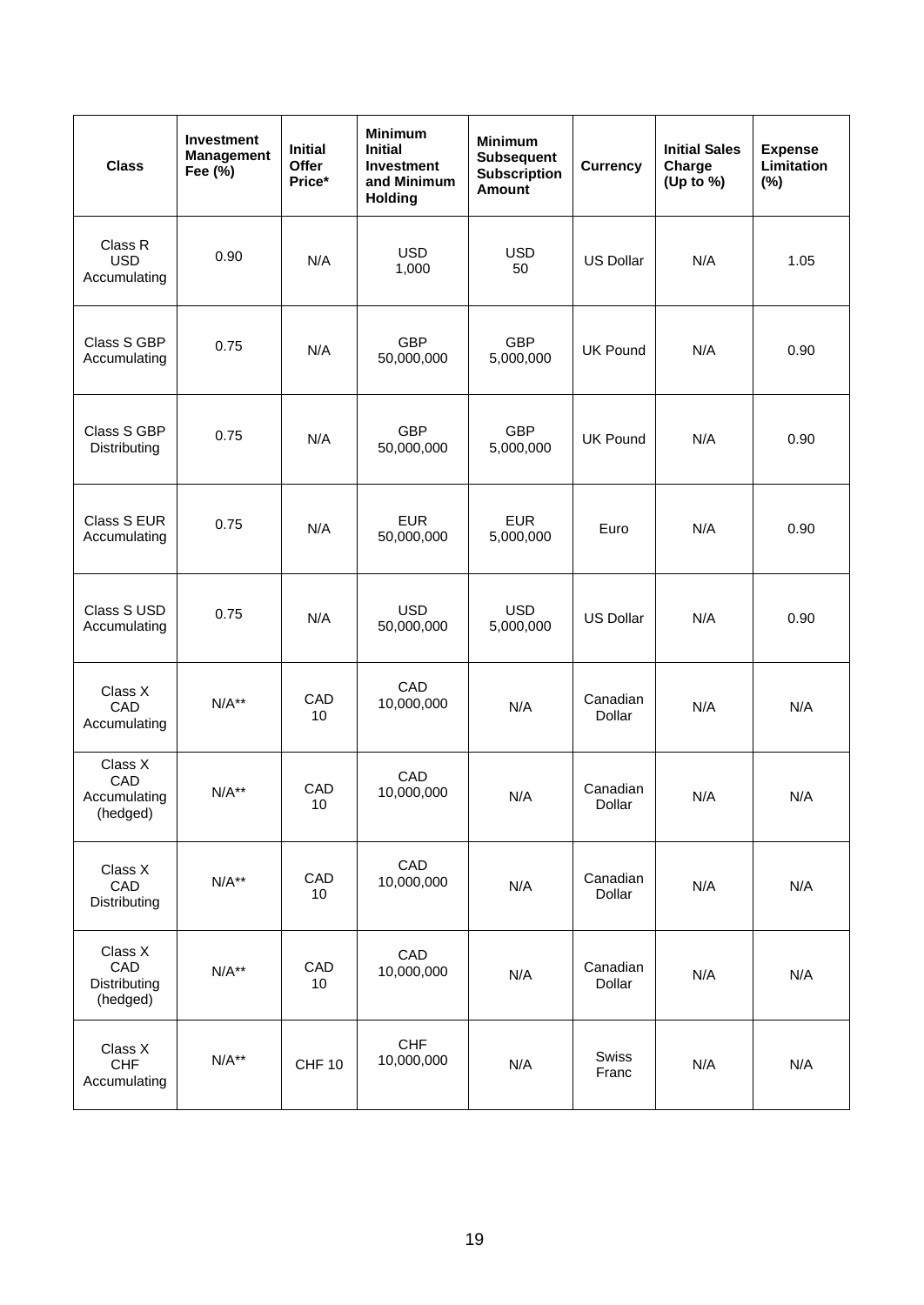| <b>Class</b>                               | <b>Investment</b><br><b>Management</b><br>Fee (%) | <b>Initial</b><br><b>Offer</b><br>Price* | <b>Minimum</b><br><b>Initial</b><br><b>Investment</b><br>and Minimum<br><b>Holding</b> | <b>Minimum</b><br><b>Subsequent</b><br><b>Subscription</b><br><b>Amount</b> | <b>Currency</b>           | <b>Initial Sales</b><br>Charge<br>(Up to %) | <b>Expense</b><br>Limitation<br>(%) |
|--------------------------------------------|---------------------------------------------------|------------------------------------------|----------------------------------------------------------------------------------------|-----------------------------------------------------------------------------|---------------------------|---------------------------------------------|-------------------------------------|
| Class R<br><b>USD</b><br>Accumulating      | 0.90                                              | N/A                                      | <b>USD</b><br>1,000                                                                    | <b>USD</b><br>50                                                            | <b>US Dollar</b>          | N/A                                         | 1.05                                |
| Class S GBP<br>Accumulating                | 0.75                                              | N/A                                      | <b>GBP</b><br>50,000,000                                                               | <b>GBP</b><br>5,000,000                                                     | <b>UK Pound</b>           | N/A                                         | 0.90                                |
| Class S GBP<br>Distributing                | 0.75                                              | N/A                                      | <b>GBP</b><br>50,000,000                                                               | <b>GBP</b><br>5,000,000                                                     | <b>UK Pound</b>           | N/A                                         | 0.90                                |
| Class S EUR<br>Accumulating                | 0.75                                              | N/A                                      | <b>EUR</b><br>50,000,000                                                               | <b>EUR</b><br>5,000,000                                                     | Euro                      | N/A                                         | 0.90                                |
| Class S USD<br>Accumulating                | 0.75                                              | N/A                                      | <b>USD</b><br>50,000,000                                                               | <b>USD</b><br>5,000,000                                                     | <b>US Dollar</b>          | N/A                                         | 0.90                                |
| Class X<br>CAD<br>Accumulating             | $N/A**$                                           | CAD<br>10                                | CAD<br>10,000,000                                                                      | N/A                                                                         | Canadian<br><b>Dollar</b> | N/A                                         | N/A                                 |
| Class X<br>CAD<br>Accumulating<br>(hedged) | $N/A**$                                           | CAD<br>10                                | CAD<br>10,000,000                                                                      | N/A                                                                         | Canadian<br>Dollar        | N/A                                         | N/A                                 |
| Class X<br>CAD<br>Distributing             | $N/A**$                                           | CAD<br>10                                | CAD<br>10,000,000                                                                      | N/A                                                                         | Canadian<br>Dollar        | N/A                                         | N/A                                 |
| Class X<br>CAD<br>Distributing<br>(hedged) | $N/A**$                                           | CAD<br>10                                | CAD<br>10,000,000                                                                      | N/A                                                                         | Canadian<br>Dollar        | N/A                                         | N/A                                 |
| Class X<br><b>CHF</b><br>Accumulating      | $N/A**$                                           | <b>CHF 10</b>                            | <b>CHF</b><br>10,000,000                                                               | N/A                                                                         | Swiss<br>Franc            | N/A                                         | N/A                                 |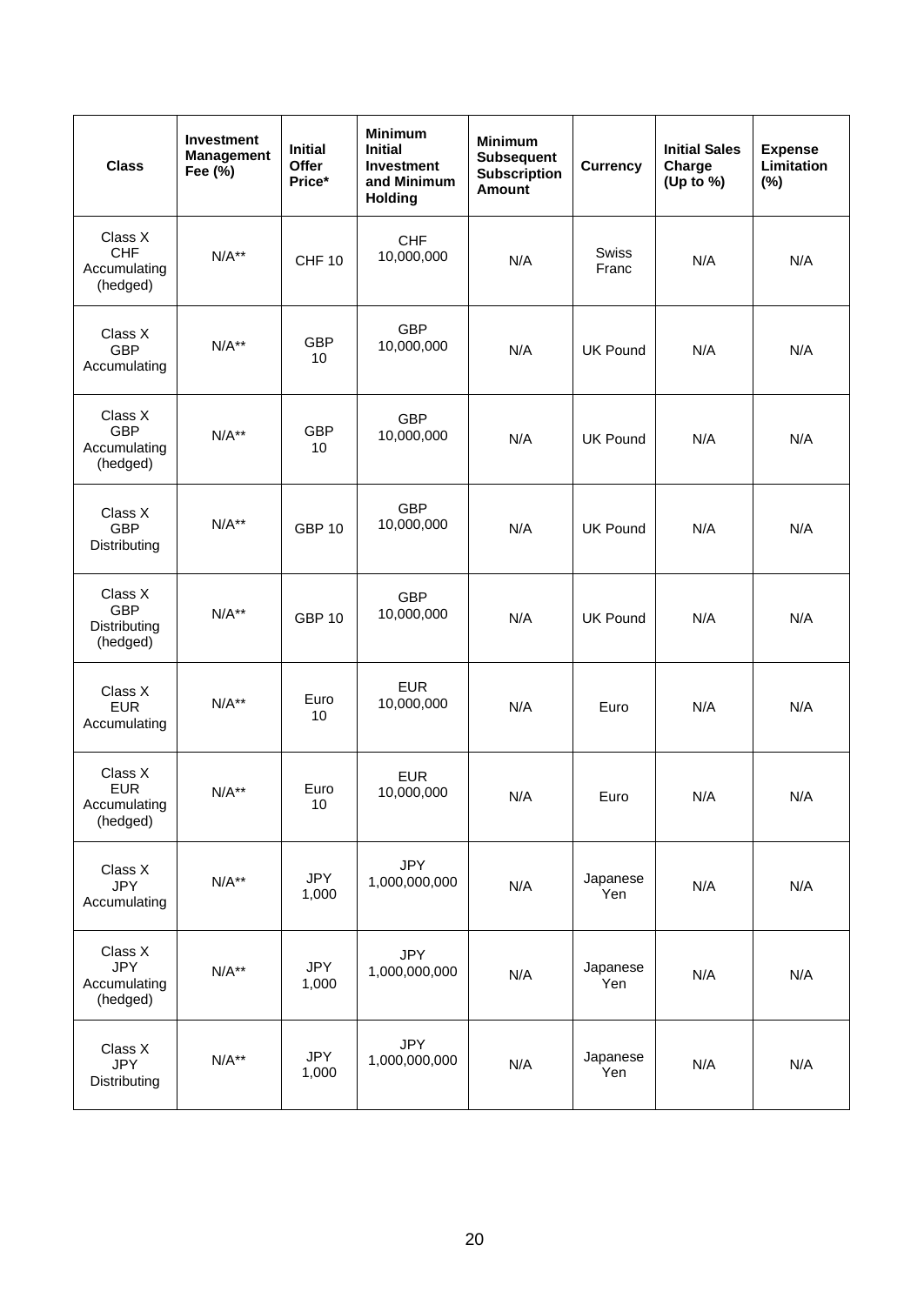| <b>Class</b>                                      | <b>Investment</b><br><b>Management</b><br>Fee (%) | <b>Initial</b><br><b>Offer</b><br>Price* | <b>Minimum</b><br><b>Initial</b><br>Investment<br>and Minimum<br><b>Holding</b> | <b>Minimum</b><br><b>Subsequent</b><br><b>Subscription</b><br><b>Amount</b> | <b>Currency</b> | <b>Initial Sales</b><br>Charge<br>(Up to %) | <b>Expense</b><br>Limitation<br>(%) |
|---------------------------------------------------|---------------------------------------------------|------------------------------------------|---------------------------------------------------------------------------------|-----------------------------------------------------------------------------|-----------------|---------------------------------------------|-------------------------------------|
| Class X<br><b>CHF</b><br>Accumulating<br>(hedged) | $N/A**$                                           | <b>CHF 10</b>                            | <b>CHF</b><br>10,000,000                                                        | N/A                                                                         | Swiss<br>Franc  | N/A                                         | N/A                                 |
| Class X<br><b>GBP</b><br>Accumulating             | $N/A**$                                           | <b>GBP</b><br>10                         | <b>GBP</b><br>10,000,000                                                        | N/A                                                                         | <b>UK Pound</b> | N/A                                         | N/A                                 |
| Class X<br><b>GBP</b><br>Accumulating<br>(hedged) | $N/A**$                                           | <b>GBP</b><br>10                         | <b>GBP</b><br>10,000,000                                                        | N/A                                                                         | <b>UK Pound</b> | N/A                                         | N/A                                 |
| Class X<br><b>GBP</b><br>Distributing             | $N/A**$                                           | <b>GBP 10</b>                            | <b>GBP</b><br>10,000,000                                                        | N/A                                                                         | <b>UK Pound</b> | N/A                                         | N/A                                 |
| Class X<br>GBP<br>Distributing<br>(hedged)        | $N/A**$                                           | <b>GBP 10</b>                            | <b>GBP</b><br>10,000,000                                                        | N/A                                                                         | <b>UK Pound</b> | N/A                                         | N/A                                 |
| Class X<br><b>EUR</b><br>Accumulating             | $N/A**$                                           | Euro<br>10                               | <b>EUR</b><br>10,000,000                                                        | N/A                                                                         | Euro            | N/A                                         | N/A                                 |
| Class X<br><b>EUR</b><br>Accumulating<br>(hedged) | $N/A**$                                           | Euro<br>10                               | <b>EUR</b><br>10,000,000                                                        | N/A                                                                         | Euro            | N/A                                         | N/A                                 |
| Class X<br><b>JPY</b><br>Accumulating             | $N/A**$                                           | <b>JPY</b><br>1,000                      | <b>JPY</b><br>1,000,000,000                                                     | N/A                                                                         | Japanese<br>Yen | N/A                                         | N/A                                 |
| Class X<br><b>JPY</b><br>Accumulating<br>(hedged) | $N/A**$                                           | <b>JPY</b><br>1,000                      | <b>JPY</b><br>1,000,000,000                                                     | N/A                                                                         | Japanese<br>Yen | N/A                                         | N/A                                 |
| Class X<br><b>JPY</b><br>Distributing             | $N/A**$                                           | <b>JPY</b><br>1,000                      | <b>JPY</b><br>1,000,000,000                                                     | N/A                                                                         | Japanese<br>Yen | N/A                                         | N/A                                 |